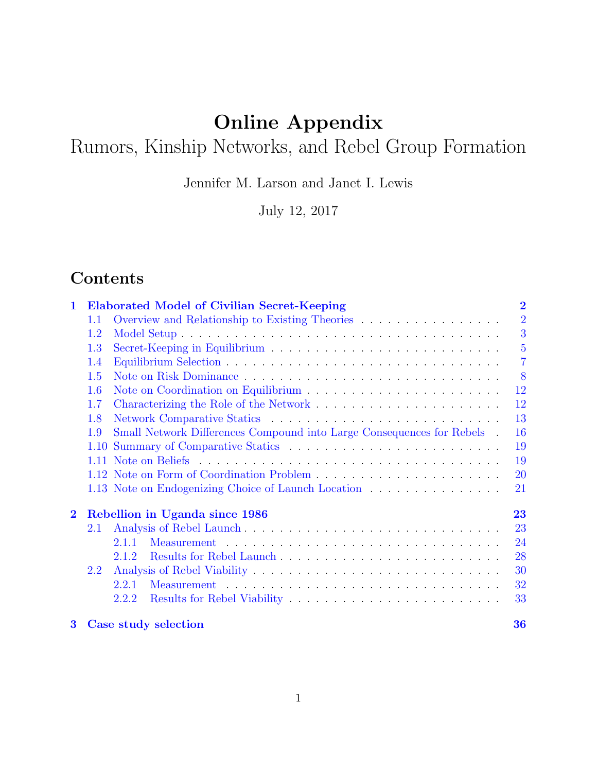# Online Appendix

# Rumors, Kinship Networks, and Rebel Group Formation

Jennifer M. Larson and Janet I. Lewis

July 12, 2017

# Contents

| 1        |      | <b>Elaborated Model of Civilian Secret-Keeping</b>                    | $\overline{2}$ |
|----------|------|-----------------------------------------------------------------------|----------------|
|          | 1.1  | Overview and Relationship to Existing Theories                        | $\overline{2}$ |
|          | 1.2  |                                                                       | 3              |
|          | 1.3  |                                                                       | $\overline{5}$ |
|          | 1.4  |                                                                       | $\overline{7}$ |
|          | 1.5  |                                                                       | 8              |
|          | 1.6  |                                                                       | 12             |
|          | 1.7  |                                                                       | 12             |
|          | 1.8  |                                                                       | 13             |
|          | 1.9  | Small Network Differences Compound into Large Consequences for Rebels | 16             |
|          | 1.10 |                                                                       | 19             |
|          |      |                                                                       | 19             |
|          |      |                                                                       | 20             |
|          |      | 1.13 Note on Endogenizing Choice of Launch Location                   | 21             |
| $\bf{2}$ |      | Rebellion in Uganda since 1986                                        | 23             |
|          | 2.1  |                                                                       | 23             |
|          |      | 2.1.1                                                                 | 24             |
|          |      | 2.1.2                                                                 | 28             |
|          | 2.2  |                                                                       | 30             |
|          |      | 2.2.1                                                                 | 32             |
|          |      | 2.2.2                                                                 | 33             |
| $\bf{3}$ |      | Case study selection                                                  | 36             |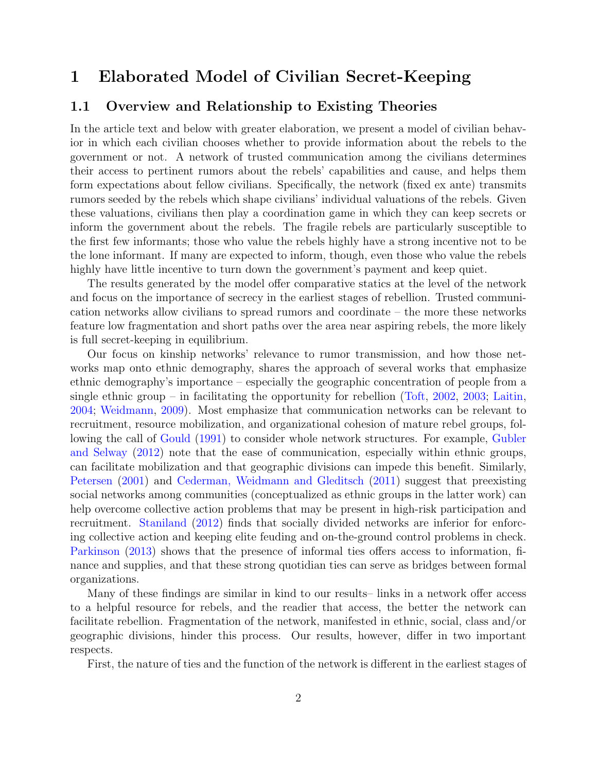# <span id="page-1-0"></span>1 Elaborated Model of Civilian Secret-Keeping

## <span id="page-1-1"></span>1.1 Overview and Relationship to Existing Theories

In the article text and below with greater elaboration, we present a model of civilian behavior in which each civilian chooses whether to provide information about the rebels to the government or not. A network of trusted communication among the civilians determines their access to pertinent rumors about the rebels' capabilities and cause, and helps them form expectations about fellow civilians. Specifically, the network (fixed ex ante) transmits rumors seeded by the rebels which shape civilians' individual valuations of the rebels. Given these valuations, civilians then play a coordination game in which they can keep secrets or inform the government about the rebels. The fragile rebels are particularly susceptible to the first few informants; those who value the rebels highly have a strong incentive not to be the lone informant. If many are expected to inform, though, even those who value the rebels highly have little incentive to turn down the government's payment and keep quiet.

The results generated by the model offer comparative statics at the level of the network and focus on the importance of secrecy in the earliest stages of rebellion. Trusted communication networks allow civilians to spread rumors and coordinate – the more these networks feature low fragmentation and short paths over the area near aspiring rebels, the more likely is full secret-keeping in equilibrium.

Our focus on kinship networks' relevance to rumor transmission, and how those networks map onto ethnic demography, shares the approach of several works that emphasize ethnic demography's importance – especially the geographic concentration of people from a single ethnic group – in facilitating the opportunity for rebellion [\(Toft,](#page-40-0) [2002,](#page-40-0) [2003;](#page-40-1) [Laitin,](#page-39-0) [2004;](#page-39-0) [Weidmann,](#page-41-0) [2009\)](#page-41-0). Most emphasize that communication networks can be relevant to recruitment, resource mobilization, and organizational cohesion of mature rebel groups, following the call of [Gould](#page-39-1) [\(1991\)](#page-39-1) to consider whole network structures. For example, [Gubler](#page-39-2) [and Selway](#page-39-2) [\(2012\)](#page-39-2) note that the ease of communication, especially within ethnic groups, can facilitate mobilization and that geographic divisions can impede this benefit. Similarly, [Petersen](#page-40-2) [\(2001\)](#page-40-2) and [Cederman, Weidmann and Gleditsch](#page-38-0) [\(2011\)](#page-38-0) suggest that preexisting social networks among communities (conceptualized as ethnic groups in the latter work) can help overcome collective action problems that may be present in high-risk participation and recruitment. [Staniland](#page-40-3) [\(2012\)](#page-40-3) finds that socially divided networks are inferior for enforcing collective action and keeping elite feuding and on-the-ground control problems in check. [Parkinson](#page-40-4) [\(2013\)](#page-40-4) shows that the presence of informal ties offers access to information, finance and supplies, and that these strong quotidian ties can serve as bridges between formal organizations.

Many of these findings are similar in kind to our results– links in a network offer access to a helpful resource for rebels, and the readier that access, the better the network can facilitate rebellion. Fragmentation of the network, manifested in ethnic, social, class and/or geographic divisions, hinder this process. Our results, however, differ in two important respects.

First, the nature of ties and the function of the network is different in the earliest stages of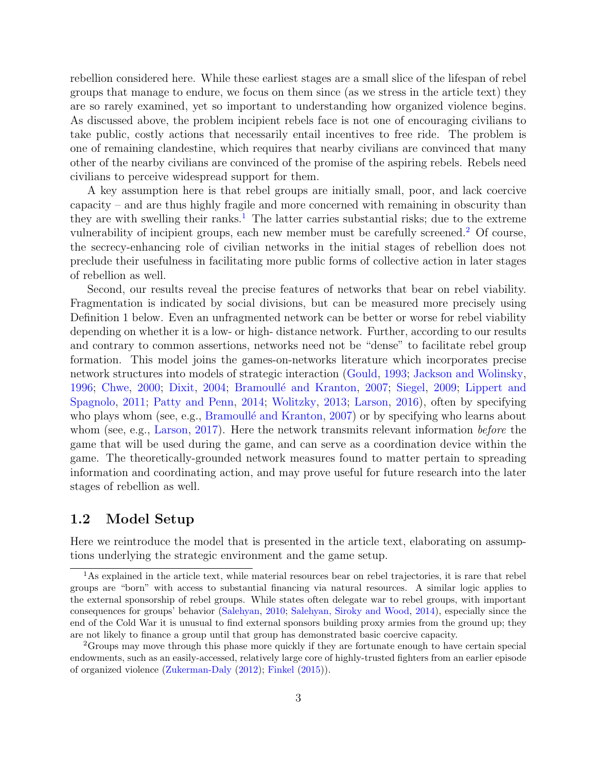rebellion considered here. While these earliest stages are a small slice of the lifespan of rebel groups that manage to endure, we focus on them since (as we stress in the article text) they are so rarely examined, yet so important to understanding how organized violence begins. As discussed above, the problem incipient rebels face is not one of encouraging civilians to take public, costly actions that necessarily entail incentives to free ride. The problem is one of remaining clandestine, which requires that nearby civilians are convinced that many other of the nearby civilians are convinced of the promise of the aspiring rebels. Rebels need civilians to perceive widespread support for them.

A key assumption here is that rebel groups are initially small, poor, and lack coercive capacity – and are thus highly fragile and more concerned with remaining in obscurity than they are with swelling their ranks.<sup>[1](#page-2-1)</sup> The latter carries substantial risks; due to the extreme vulnerability of incipient groups, each new member must be carefully screened.<sup>[2](#page-2-2)</sup> Of course, the secrecy-enhancing role of civilian networks in the initial stages of rebellion does not preclude their usefulness in facilitating more public forms of collective action in later stages of rebellion as well.

Second, our results reveal the precise features of networks that bear on rebel viability. Fragmentation is indicated by social divisions, but can be measured more precisely using Definition 1 below. Even an unfragmented network can be better or worse for rebel viability depending on whether it is a low- or high- distance network. Further, according to our results and contrary to common assertions, networks need not be "dense" to facilitate rebel group formation. This model joins the games-on-networks literature which incorporates precise network structures into models of strategic interaction [\(Gould,](#page-39-3) [1993;](#page-39-3) [Jackson and Wolinsky,](#page-39-4) [1996;](#page-39-4) [Chwe,](#page-38-1) [2000;](#page-38-1) [Dixit,](#page-38-2) [2004;](#page-38-2) Bramoullé and Kranton, [2007;](#page-38-3) [Siegel,](#page-40-5) [2009;](#page-40-5) [Lippert and](#page-40-6) [Spagnolo,](#page-40-6) [2011;](#page-40-6) [Patty and Penn,](#page-40-7) [2014;](#page-40-7) [Wolitzky,](#page-41-1) [2013;](#page-41-1) [Larson,](#page-39-5) [2016\)](#page-39-5), often by specifying who plays whom (see, e.g., Bramoullé and Kranton, [2007\)](#page-38-3) or by specifying who learns about whom (see, e.g., [Larson,](#page-39-6) [2017\)](#page-39-6). Here the network transmits relevant information *before* the game that will be used during the game, and can serve as a coordination device within the game. The theoretically-grounded network measures found to matter pertain to spreading information and coordinating action, and may prove useful for future research into the later stages of rebellion as well.

## <span id="page-2-0"></span>1.2 Model Setup

Here we reintroduce the model that is presented in the article text, elaborating on assumptions underlying the strategic environment and the game setup.

<span id="page-2-1"></span><sup>1</sup>As explained in the article text, while material resources bear on rebel trajectories, it is rare that rebel groups are "born" with access to substantial financing via natural resources. A similar logic applies to the external sponsorship of rebel groups. While states often delegate war to rebel groups, with important consequences for groups' behavior [\(Salehyan,](#page-40-8) [2010;](#page-40-8) [Salehyan, Siroky and Wood,](#page-40-9) [2014\)](#page-40-9), especially since the end of the Cold War it is unusual to find external sponsors building proxy armies from the ground up; they are not likely to finance a group until that group has demonstrated basic coercive capacity.

<span id="page-2-2"></span><sup>&</sup>lt;sup>2</sup>Groups may move through this phase more quickly if they are fortunate enough to have certain special endowments, such as an easily-accessed, relatively large core of highly-trusted fighters from an earlier episode of organized violence [\(Zukerman-Daly](#page-41-2) [\(2012\)](#page-41-2); [Finkel](#page-39-7) [\(2015\)](#page-39-7)).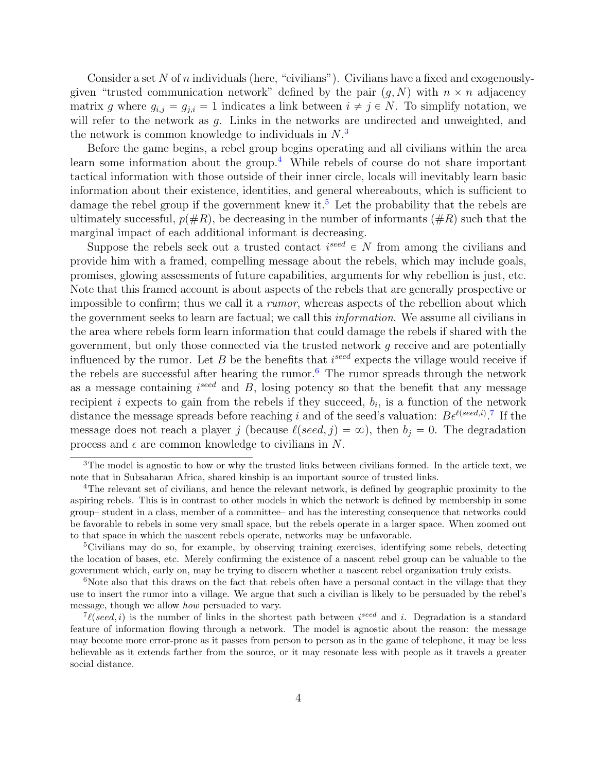Consider a set N of n individuals (here, "civilians"). Civilians have a fixed and exogenouslygiven "trusted communication network" defined by the pair  $(g, N)$  with  $n \times n$  adjacency matrix g where  $g_{i,j} = g_{j,i} = 1$  indicates a link between  $i \neq j \in N$ . To simplify notation, we will refer to the network as g. Links in the networks are undirected and unweighted, and the network is common knowledge to individuals in  $N<sup>3</sup>$  $N<sup>3</sup>$  $N<sup>3</sup>$ 

Before the game begins, a rebel group begins operating and all civilians within the area learn some information about the group.[4](#page-3-1) While rebels of course do not share important tactical information with those outside of their inner circle, locals will inevitably learn basic information about their existence, identities, and general whereabouts, which is sufficient to damage the rebel group if the government knew it.<sup>[5](#page-3-2)</sup> Let the probability that the rebels are ultimately successful,  $p(\#R)$ , be decreasing in the number of informants ( $\#R$ ) such that the marginal impact of each additional informant is decreasing.

Suppose the rebels seek out a trusted contact  $i^{seed} \in N$  from among the civilians and provide him with a framed, compelling message about the rebels, which may include goals, promises, glowing assessments of future capabilities, arguments for why rebellion is just, etc. Note that this framed account is about aspects of the rebels that are generally prospective or impossible to confirm; thus we call it a *rumor*, whereas aspects of the rebellion about which the government seeks to learn are factual; we call this information. We assume all civilians in the area where rebels form learn information that could damage the rebels if shared with the government, but only those connected via the trusted network g receive and are potentially influenced by the rumor. Let B be the benefits that  $i^{seed}$  expects the village would receive if the rebels are successful after hearing the rumor.<sup>[6](#page-3-3)</sup> The rumor spreads through the network as a message containing  $i^{seed}$  and  $B$ , losing potency so that the benefit that any message recipient *i* expects to gain from the rebels if they succeed,  $b_i$ , is a function of the network distance the message spreads before reaching i and of the seed's valuation:  $B\epsilon^{\ell (seed,i)}$ .<sup>[7](#page-3-4)</sup> If the message does not reach a player j (because  $\ell (seed, j) = \infty$ ), then  $b_j = 0$ . The degradation process and  $\epsilon$  are common knowledge to civilians in N.

<span id="page-3-0"></span><sup>&</sup>lt;sup>3</sup>The model is agnostic to how or why the trusted links between civilians formed. In the article text, we note that in Subsaharan Africa, shared kinship is an important source of trusted links.

<span id="page-3-1"></span><sup>4</sup>The relevant set of civilians, and hence the relevant network, is defined by geographic proximity to the aspiring rebels. This is in contrast to other models in which the network is defined by membership in some group– student in a class, member of a committee– and has the interesting consequence that networks could be favorable to rebels in some very small space, but the rebels operate in a larger space. When zoomed out to that space in which the nascent rebels operate, networks may be unfavorable.

<span id="page-3-2"></span><sup>5</sup>Civilians may do so, for example, by observing training exercises, identifying some rebels, detecting the location of bases, etc. Merely confirming the existence of a nascent rebel group can be valuable to the government which, early on, may be trying to discern whether a nascent rebel organization truly exists.

<span id="page-3-3"></span><sup>&</sup>lt;sup>6</sup>Note also that this draws on the fact that rebels often have a personal contact in the village that they use to insert the rumor into a village. We argue that such a civilian is likely to be persuaded by the rebel's message, though we allow how persuaded to vary.

<span id="page-3-4"></span> $7\ell (seed, i)$  is the number of links in the shortest path between is a standard i. Degradation is a standard feature of information flowing through a network. The model is agnostic about the reason: the message may become more error-prone as it passes from person to person as in the game of telephone, it may be less believable as it extends farther from the source, or it may resonate less with people as it travels a greater social distance.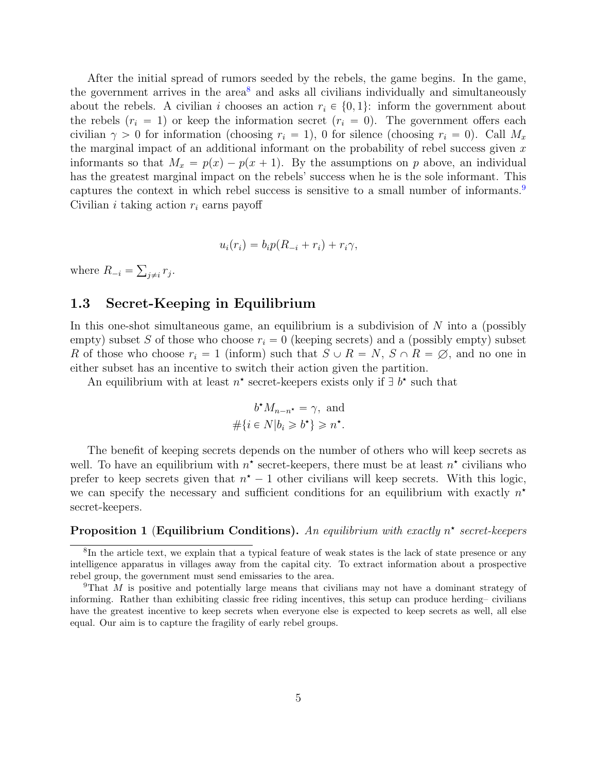After the initial spread of rumors seeded by the rebels, the game begins. In the game, the government arrives in the  $area<sup>8</sup>$  $area<sup>8</sup>$  $area<sup>8</sup>$  and asks all civilians individually and simultaneously about the rebels. A civilian i chooses an action  $r_i \in \{0, 1\}$ : inform the government about the rebels  $(r_i = 1)$  or keep the information secret  $(r_i = 0)$ . The government offers each civilian  $\gamma > 0$  for information (choosing  $r_i = 1$ ), 0 for silence (choosing  $r_i = 0$ ). Call  $M_x$ the marginal impact of an additional informant on the probability of rebel success given  $x$ informants so that  $M_x = p(x) - p(x + 1)$ . By the assumptions on p above, an individual has the greatest marginal impact on the rebels' success when he is the sole informant. This captures the context in which rebel success is sensitive to a small number of informants.<sup>[9](#page-4-2)</sup> Civilian i taking action  $r_i$  earns payoff

$$
u_i(r_i) = b_i p(R_{-i} + r_i) + r_i \gamma,
$$

where  $R_{-i}$  =  $_{j\neq i}$   $r_j$ .

## <span id="page-4-0"></span>1.3 Secret-Keeping in Equilibrium

In this one-shot simultaneous game, an equilibrium is a subdivision of  $N$  into a (possibly empty) subset S of those who choose  $r_i = 0$  (keeping secrets) and a (possibly empty) subset R of those who choose  $r_i = 1$  (inform) such that  $S \cup R = N$ ,  $S \cap R = \emptyset$ , and no one in either subset has an incentive to switch their action given the partition.

An equilibrium with at least  $n^*$  secret-keepers exists only if  $\exists b^*$  such that

$$
b^{\star} M_{n-n^{\star}} = \gamma, \text{ and}
$$
  

$$
\#\{i \in N | b_i \geq b^{\star}\} \geq n^{\star}.
$$

The benefit of keeping secrets depends on the number of others who will keep secrets as well. To have an equilibrium with  $n^*$  secret-keepers, there must be at least  $n^*$  civilians who prefer to keep secrets given that  $n^* - 1$  other civilians will keep secrets. With this logic, we can specify the necessary and sufficient conditions for an equilibrium with exactly  $n^*$ secret-keepers.

#### <span id="page-4-3"></span>**Proposition 1** (Equilibrium Conditions). An equilibrium with exactly  $n^*$  secret-keepers

<span id="page-4-1"></span><sup>&</sup>lt;sup>8</sup>In the article text, we explain that a typical feature of weak states is the lack of state presence or any intelligence apparatus in villages away from the capital city. To extract information about a prospective rebel group, the government must send emissaries to the area.

<span id="page-4-2"></span><sup>&</sup>lt;sup>9</sup>That M is positive and potentially large means that civilians may not have a dominant strategy of informing. Rather than exhibiting classic free riding incentives, this setup can produce herding– civilians have the greatest incentive to keep secrets when everyone else is expected to keep secrets as well, all else equal. Our aim is to capture the fragility of early rebel groups.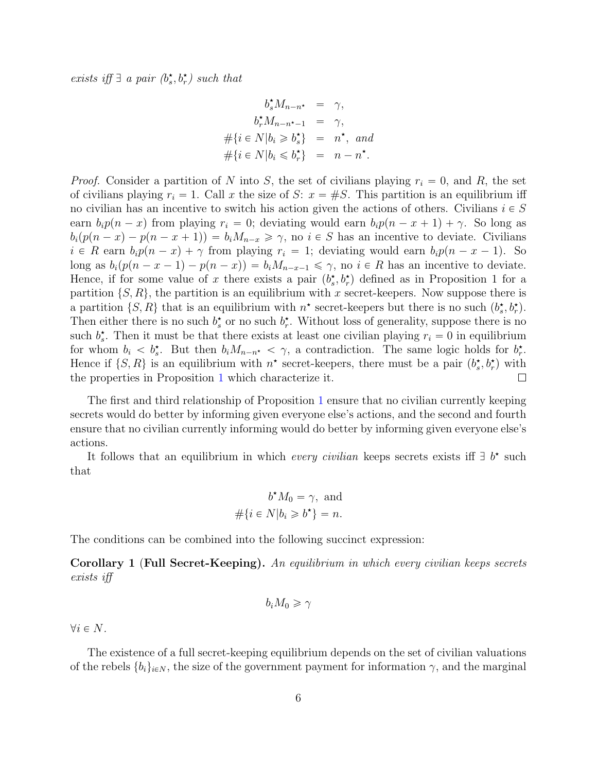exists iff  $\exists$  a pair  $(b_s^{\star}, b_r^{\star})$  such that

$$
b_s^{\star} M_{n-n^{\star}} = \gamma,
$$
  
\n
$$
b_r^{\star} M_{n-n^{\star}-1} = \gamma,
$$
  
\n
$$
\#\{i \in N | b_i \geq b_s^{\star}\} = n^{\star}, and
$$
  
\n
$$
\#\{i \in N | b_i \leq b_r^{\star}\} = n - n^{\star}.
$$

*Proof.* Consider a partition of N into S, the set of civilians playing  $r_i = 0$ , and R, the set of civilians playing  $r_i = 1$ . Call x the size of S:  $x = \#S$ . This partition is an equilibrium iff no civilian has an incentive to switch his action given the actions of others. Civilians  $i \in S$ earn  $b_i p(n-x)$  from playing  $r_i = 0$ ; deviating would earn  $b_i p(n - x + 1) + \gamma$ . So long as  $b_i(p(n-x) - p(n-x+1)) = b_iM_{n-x} \geq \gamma$ , no  $i \in S$  has an incentive to deviate. Civilians  $i \in R$  earn  $b_i p(n-x) + \gamma$  from playing  $r_i = 1$ ; deviating would earn  $b_i p(n-x-1)$ . So long as  $b_i(p(n - x - 1) - p(n - x)) = b_iM_{n-x-1} \leq \gamma$ , no  $i \in R$  has an incentive to deviate. Hence, if for some value of x there exists a pair  $(b_s, b_r)$  defined as in Proposition 1 for a partition  $\{S, R\}$ , the partition is an equilibrium with x secret-keepers. Now suppose there is a partition  $\{S, R\}$  that is an equilibrium with  $n^*$  secret-keepers but there is no such  $(b_s^*, b_r^*)$ . Then either there is no such  $b_s^*$  or no such  $b_r^*$ . Without loss of generality, suppose there is no such  $b_s^*$ . Then it must be that there exists at least one civilian playing  $r_i = 0$  in equilibrium for whom  $b_i < b_s^*$ . But then  $b_i M_{n-n^*} < \gamma$ , a contradiction. The same logic holds for  $b_r^*$ . Hence if  $\{S, R\}$  is an equilibrium with  $n^*$  secret-keepers, there must be a pair  $(b_s^*, b_r^*)$  with the properties in Proposition [1](#page-4-3) which characterize it.  $\Box$ 

The first and third relationship of Proposition [1](#page-4-3) ensure that no civilian currently keeping secrets would do better by informing given everyone else's actions, and the second and fourth ensure that no civilian currently informing would do better by informing given everyone else's actions.

It follows that an equilibrium in which *every civilian* keeps secrets exists iff  $\exists b^*$  such that

$$
b^{\star} M_0 = \gamma, \text{ and}
$$
  

$$
\#\{i \in N | b_i \geq b^{\star}\} = n.
$$

The conditions can be combined into the following succinct expression:

<span id="page-5-0"></span>Corollary 1 (Full Secret-Keeping). An equilibrium in which every civilian keeps secrets exists iff

$$
b_i M_0 \geqslant \gamma
$$

 $\forall i \in N$ .

The existence of a full secret-keeping equilibrium depends on the set of civilian valuations of the rebels  $\{b_i\}_{i\in\mathbb{N}}$ , the size of the government payment for information  $\gamma$ , and the marginal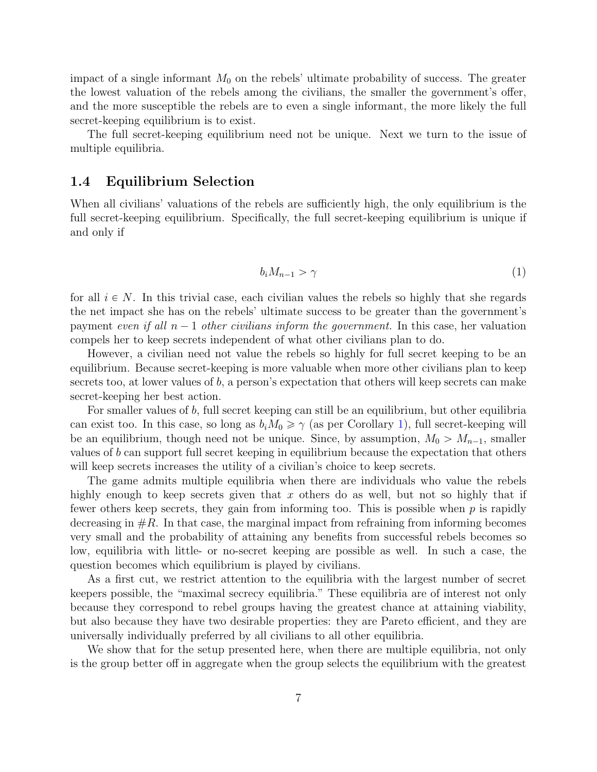impact of a single informant  $M_0$  on the rebels' ultimate probability of success. The greater the lowest valuation of the rebels among the civilians, the smaller the government's offer, and the more susceptible the rebels are to even a single informant, the more likely the full secret-keeping equilibrium is to exist.

The full secret-keeping equilibrium need not be unique. Next we turn to the issue of multiple equilibria.

## <span id="page-6-0"></span>1.4 Equilibrium Selection

When all civilians' valuations of the rebels are sufficiently high, the only equilibrium is the full secret-keeping equilibrium. Specifically, the full secret-keeping equilibrium is unique if and only if

$$
b_i M_{n-1} > \gamma \tag{1}
$$

for all  $i \in N$ . In this trivial case, each civilian values the rebels so highly that she regards the net impact she has on the rebels' ultimate success to be greater than the government's payment even if all  $n - 1$  other civilians inform the government. In this case, her valuation compels her to keep secrets independent of what other civilians plan to do.

However, a civilian need not value the rebels so highly for full secret keeping to be an equilibrium. Because secret-keeping is more valuable when more other civilians plan to keep secrets too, at lower values of  $b$ , a person's expectation that others will keep secrets can make secret-keeping her best action.

For smaller values of b, full secret keeping can still be an equilibrium, but other equilibria can exist too. In this case, so long as  $b_iM_0 \ge \gamma$  (as per Corollary [1\)](#page-5-0), full secret-keeping will be an equilibrium, though need not be unique. Since, by assumption,  $M_0 > M_{n-1}$ , smaller values of b can support full secret keeping in equilibrium because the expectation that others will keep secrets increases the utility of a civilian's choice to keep secrets.

The game admits multiple equilibria when there are individuals who value the rebels highly enough to keep secrets given that  $x$  others do as well, but not so highly that if fewer others keep secrets, they gain from informing too. This is possible when  $p$  is rapidly decreasing in  $#R$ . In that case, the marginal impact from refraining from informing becomes very small and the probability of attaining any benefits from successful rebels becomes so low, equilibria with little- or no-secret keeping are possible as well. In such a case, the question becomes which equilibrium is played by civilians.

As a first cut, we restrict attention to the equilibria with the largest number of secret keepers possible, the "maximal secrecy equilibria." These equilibria are of interest not only because they correspond to rebel groups having the greatest chance at attaining viability, but also because they have two desirable properties: they are Pareto efficient, and they are universally individually preferred by all civilians to all other equilibria.

We show that for the setup presented here, when there are multiple equilibria, not only is the group better off in aggregate when the group selects the equilibrium with the greatest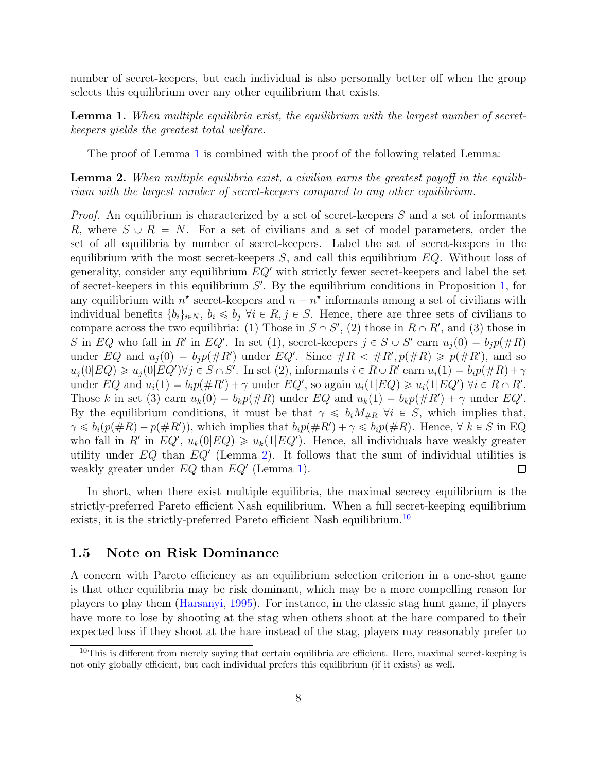number of secret-keepers, but each individual is also personally better off when the group selects this equilibrium over any other equilibrium that exists.

<span id="page-7-1"></span>**Lemma 1.** When multiple equilibria exist, the equilibrium with the largest number of secretkeepers yields the greatest total welfare.

The proof of Lemma [1](#page-7-1) is combined with the proof of the following related Lemma:

<span id="page-7-2"></span>Lemma 2. When multiple equilibria exist, a civilian earns the greatest payoff in the equilibrium with the largest number of secret-keepers compared to any other equilibrium.

*Proof.* An equilibrium is characterized by a set of secret-keepers  $S$  and a set of informants R, where  $S \cup R = N$ . For a set of civilians and a set of model parameters, order the set of all equilibria by number of secret-keepers. Label the set of secret-keepers in the equilibrium with the most secret-keepers  $S$ , and call this equilibrium  $EQ$ . Without loss of generality, consider any equilibrium  $EQ'$  with strictly fewer secret-keepers and label the set of secret-keepers in this equilibrium  $S'$ . By the equilibrium conditions in Proposition [1,](#page-4-3) for any equilibrium with  $n^*$  secret-keepers and  $n - n^*$  informants among a set of civilians with individual benefits  $\{b_i\}_{i\in\mathbb{N}}$ ,  $b_i \leq b_j$   $\forall i \in \mathbb{R}, j \in \mathbb{S}$ . Hence, there are three sets of civilians to compare across the two equilibria: (1) Those in  $S \cap S'$ , (2) those in  $R \cap R'$ , and (3) those in S in EQ who fall in R' in EQ'. In set (1), secret-keepers  $j \in S \cup S'$  earn  $u_j(0) = b_j p(\#R)$ under EQ and  $u_j(0) = b_j p(\# R')$  under EQ'. Since  $\#R < \#R', p(\#R) \geqslant p(\#R'),$  and so  $u_j(0|EQ) \geq u_j(0|EQ') \forall j \in S \cap S'$ . In set (2), informants  $i \in R \cup R'$  earn  $u_i(1) = b_i p(\#R) + \gamma$ under EQ and  $u_i(1) = b_i p(\# R') + \gamma$  under EQ', so again  $u_i(1|EQ) \geq u_i(1|EQ')$   $\forall i \in R \cap R'.$ Those k in set (3) earn  $u_k(0) = b_k p(\#R)$  under EQ and  $u_k(1) = b_k p(\#R') + \gamma$  under EQ'. By the equilibrium conditions, it must be that  $\gamma \leq b_i M_{\#R}$   $\forall i \in S$ , which implies that,  $\gamma \leqslant b_i(p(\#R) - p(\#R'))$ , which implies that  $b_i p(\#R') + \gamma \leqslant b_i p(\#R)$ . Hence,  $\forall k \in S$  in EQ who fall in R' in  $EQ'$ ,  $u_k(0|EQ) \geq u_k(1|EQ')$ . Hence, all individuals have weakly greater utility under  $EQ$  than  $EQ'$  (Lemma [2\)](#page-7-2). It follows that the sum of individual utilities is weakly greater under  $EQ$  than  $EQ'$  (Lemma [1\)](#page-7-1).  $\Box$ 

In short, when there exist multiple equilibria, the maximal secrecy equilibrium is the strictly-preferred Pareto efficient Nash equilibrium. When a full secret-keeping equilibrium exists, it is the strictly-preferred Pareto efficient Nash equilibrium.<sup>[10](#page-7-3)</sup>

#### <span id="page-7-0"></span>1.5 Note on Risk Dominance

A concern with Pareto efficiency as an equilibrium selection criterion in a one-shot game is that other equilibria may be risk dominant, which may be a more compelling reason for players to play them [\(Harsanyi,](#page-39-8) [1995\)](#page-39-8). For instance, in the classic stag hunt game, if players have more to lose by shooting at the stag when others shoot at the hare compared to their expected loss if they shoot at the hare instead of the stag, players may reasonably prefer to

<span id="page-7-3"></span> $10$ This is different from merely saying that certain equilibria are efficient. Here, maximal secret-keeping is not only globally efficient, but each individual prefers this equilibrium (if it exists) as well.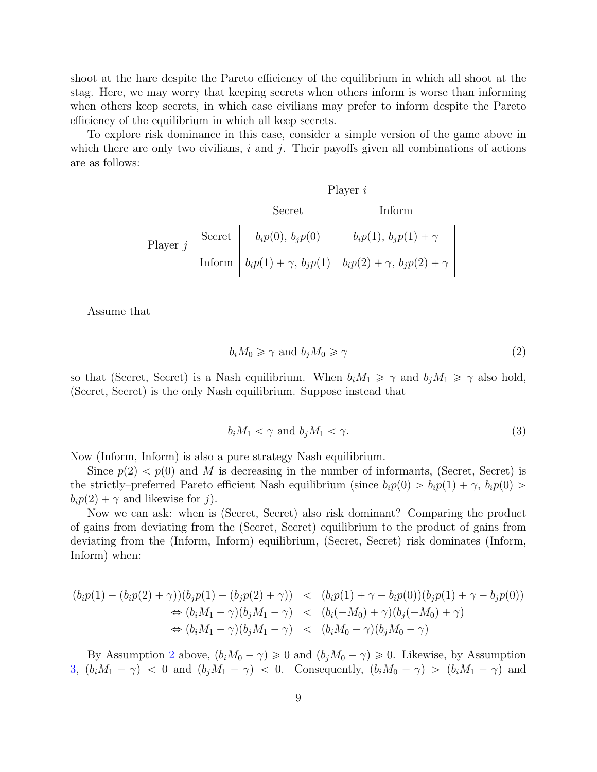shoot at the hare despite the Pareto efficiency of the equilibrium in which all shoot at the stag. Here, we may worry that keeping secrets when others inform is worse than informing when others keep secrets, in which case civilians may prefer to inform despite the Pareto efficiency of the equilibrium in which all keep secrets.

To explore risk dominance in this case, consider a simple version of the game above in which there are only two civilians,  $i$  and  $j$ . Their payoffs given all combinations of actions are as follows:

|            |        |                      | Player $i$                                                                      |
|------------|--------|----------------------|---------------------------------------------------------------------------------|
|            |        | Secret               | Inform                                                                          |
| Player $j$ | Secret | $b_i p(0), b_j p(0)$ | $b_i p(1), b_i p(1) + \gamma$                                                   |
|            |        |                      | Inform $  b_i p(1) + \gamma, b_j p(1)   b_i p(2) + \gamma, b_j p(2) + \gamma  $ |

Assume that

<span id="page-8-0"></span>
$$
b_i M_0 \ge \gamma \text{ and } b_j M_0 \ge \gamma \tag{2}
$$

so that (Secret, Secret) is a Nash equilibrium. When  $b_iM_1 \geq \gamma$  and  $b_jM_1 \geq \gamma$  also hold, (Secret, Secret) is the only Nash equilibrium. Suppose instead that

<span id="page-8-1"></span>
$$
b_i M_1 < \gamma \text{ and } b_j M_1 < \gamma. \tag{3}
$$

Now (Inform, Inform) is also a pure strategy Nash equilibrium.

Since  $p(2) < p(0)$  and M is decreasing in the number of informants, (Secret, Secret) is the strictly–preferred Pareto efficient Nash equilibrium (since  $b_i p(0) > b_i p(1) + \gamma$ ,  $b_i p(0) >$  $b_i p(2) + \gamma$  and likewise for j).

Now we can ask: when is (Secret, Secret) also risk dominant? Comparing the product of gains from deviating from the (Secret, Secret) equilibrium to the product of gains from deviating from the (Inform, Inform) equilibrium, (Secret, Secret) risk dominates (Inform, Inform) when:

$$
(b_i p(1) - (b_i p(2) + \gamma))(b_j p(1) - (b_j p(2) + \gamma)) < (b_i p(1) + \gamma - b_i p(0))(b_j p(1) + \gamma - b_j p(0)) \\
\Rightarrow (b_i M_1 - \gamma)(b_j M_1 - \gamma) < (b_i (-M_0) + \gamma)(b_j (-M_0) + \gamma) \\
\Rightarrow (b_i M_1 - \gamma)(b_j M_1 - \gamma) < (b_i M_0 - \gamma)(b_j M_0 - \gamma)
$$

By Assumption [2](#page-8-0) above,  $(b_iM_0 - \gamma) \geq 0$  and  $(b_jM_0 - \gamma) \geq 0$ . Likewise, by Assumption [3,](#page-8-1)  $(b_iM_1 - \gamma) < 0$  and  $(b_jM_1 - \gamma) < 0$ . Consequently,  $(b_iM_0 - \gamma) > (b_iM_1 - \gamma)$  and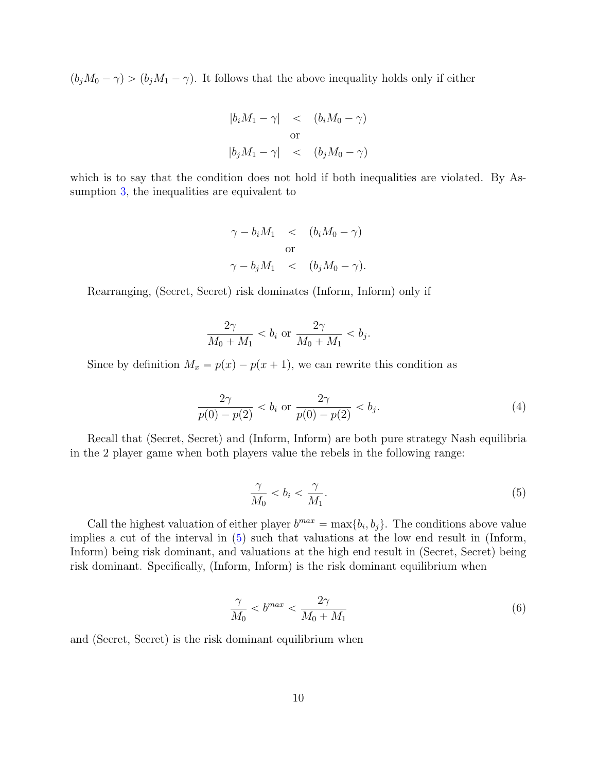$(b_jM_0 - \gamma) > (b_jM_1 - \gamma)$ . It follows that the above inequality holds only if either

$$
|b_i M_1 - \gamma| < (b_i M_0 - \gamma)
$$
  
or  

$$
|b_j M_1 - \gamma| < (b_j M_0 - \gamma)
$$

which is to say that the condition does not hold if both inequalities are violated. By Assumption [3,](#page-8-1) the inequalities are equivalent to

$$
\gamma - b_i M_1 < (b_i M_0 - \gamma)
$$
\nor

\n
$$
\gamma - b_j M_1 < (b_j M_0 - \gamma).
$$

Rearranging, (Secret, Secret) risk dominates (Inform, Inform) only if

$$
\frac{2\gamma}{M_0+M_1} < b_i \text{ or } \frac{2\gamma}{M_0+M_1} < b_j.
$$

Since by definition  $M_x = p(x) - p(x + 1)$ , we can rewrite this condition as

$$
\frac{2\gamma}{p(0) - p(2)} < b_i \text{ or } \frac{2\gamma}{p(0) - p(2)} < b_j. \tag{4}
$$

Recall that (Secret, Secret) and (Inform, Inform) are both pure strategy Nash equilibria in the 2 player game when both players value the rebels in the following range:

<span id="page-9-0"></span>
$$
\frac{\gamma}{M_0} < b_i < \frac{\gamma}{M_1}.\tag{5}
$$

Call the highest valuation of either player  $b^{max} = \max\{b_i, b_j\}$ . The conditions above value implies a cut of the interval in [\(5\)](#page-9-0) such that valuations at the low end result in (Inform, Inform) being risk dominant, and valuations at the high end result in (Secret, Secret) being risk dominant. Specifically, (Inform, Inform) is the risk dominant equilibrium when

<span id="page-9-1"></span>
$$
\frac{\gamma}{M_0} < b^{max} < \frac{2\gamma}{M_0 + M_1} \tag{6}
$$

and (Secret, Secret) is the risk dominant equilibrium when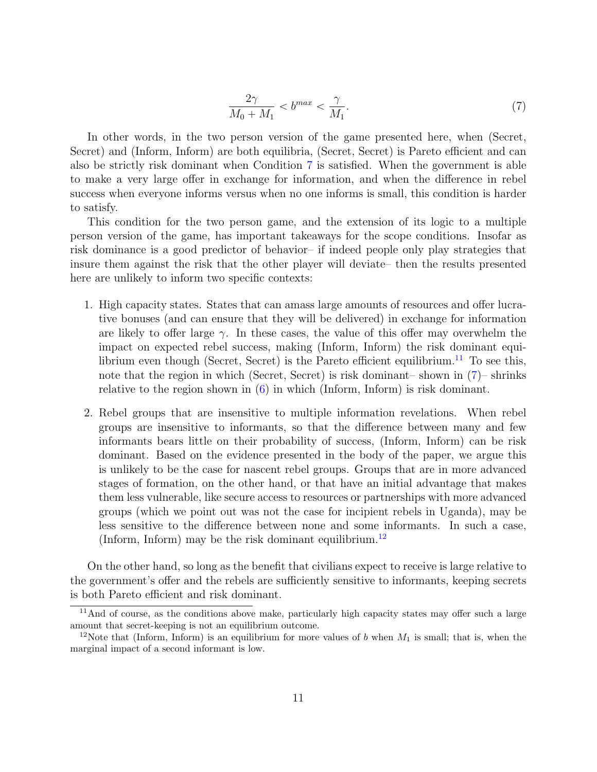<span id="page-10-0"></span>
$$
\frac{2\gamma}{M_0 + M_1} < b^{max} < \frac{\gamma}{M_1}.\tag{7}
$$

In other words, in the two person version of the game presented here, when (Secret, Secret) and (Inform, Inform) are both equilibria, (Secret, Secret) is Pareto efficient and can also be strictly risk dominant when Condition [7](#page-10-0) is satisfied. When the government is able to make a very large offer in exchange for information, and when the difference in rebel success when everyone informs versus when no one informs is small, this condition is harder to satisfy.

This condition for the two person game, and the extension of its logic to a multiple person version of the game, has important takeaways for the scope conditions. Insofar as risk dominance is a good predictor of behavior– if indeed people only play strategies that insure them against the risk that the other player will deviate– then the results presented here are unlikely to inform two specific contexts:

- 1. High capacity states. States that can amass large amounts of resources and offer lucrative bonuses (and can ensure that they will be delivered) in exchange for information are likely to offer large  $\gamma$ . In these cases, the value of this offer may overwhelm the impact on expected rebel success, making (Inform, Inform) the risk dominant equi-librium even though (Secret, Secret) is the Pareto efficient equilibrium.<sup>[11](#page-10-1)</sup> To see this, note that the region in which (Secret, Secret) is risk dominant– shown in [\(7\)](#page-10-0)– shrinks relative to the region shown in [\(6\)](#page-9-1) in which (Inform, Inform) is risk dominant.
- 2. Rebel groups that are insensitive to multiple information revelations. When rebel groups are insensitive to informants, so that the difference between many and few informants bears little on their probability of success, (Inform, Inform) can be risk dominant. Based on the evidence presented in the body of the paper, we argue this is unlikely to be the case for nascent rebel groups. Groups that are in more advanced stages of formation, on the other hand, or that have an initial advantage that makes them less vulnerable, like secure access to resources or partnerships with more advanced groups (which we point out was not the case for incipient rebels in Uganda), may be less sensitive to the difference between none and some informants. In such a case, (Inform, Inform) may be the risk dominant equilibrium.<sup>[12](#page-10-2)</sup>

On the other hand, so long as the benefit that civilians expect to receive is large relative to the government's offer and the rebels are sufficiently sensitive to informants, keeping secrets is both Pareto efficient and risk dominant.

<span id="page-10-1"></span><sup>&</sup>lt;sup>11</sup>And of course, as the conditions above make, particularly high capacity states may offer such a large amount that secret-keeping is not an equilibrium outcome.

<span id="page-10-2"></span><sup>&</sup>lt;sup>12</sup>Note that (Inform, Inform) is an equilibrium for more values of b when  $M_1$  is small; that is, when the marginal impact of a second informant is low.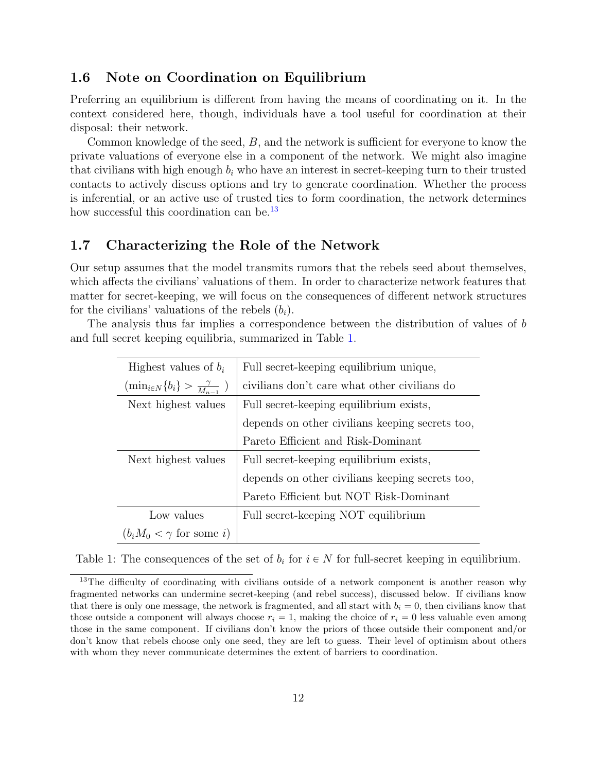## <span id="page-11-0"></span>1.6 Note on Coordination on Equilibrium

Preferring an equilibrium is different from having the means of coordinating on it. In the context considered here, though, individuals have a tool useful for coordination at their disposal: their network.

Common knowledge of the seed, B, and the network is sufficient for everyone to know the private valuations of everyone else in a component of the network. We might also imagine that civilians with high enough  $b_i$  who have an interest in secret-keeping turn to their trusted contacts to actively discuss options and try to generate coordination. Whether the process is inferential, or an active use of trusted ties to form coordination, the network determines how successful this coordination can be.<sup>[13](#page-11-2)</sup>

## <span id="page-11-1"></span>1.7 Characterizing the Role of the Network

Our setup assumes that the model transmits rumors that the rebels seed about themselves, which affects the civilians' valuations of them. In order to characterize network features that matter for secret-keeping, we will focus on the consequences of different network structures for the civilians' valuations of the rebels  $(b_i)$ .

<span id="page-11-3"></span>The analysis thus far implies a correspondence between the distribution of values of b and full secret keeping equilibria, summarized in Table [1.](#page-11-3)

| Highest values of $b_i$                             | Full secret-keeping equilibrium unique,         |
|-----------------------------------------------------|-------------------------------------------------|
| $(\min_{i \in N} \{b_i\} > \frac{\gamma}{M_{n-1}})$ | civilians don't care what other civilians do    |
| Next highest values                                 | Full secret-keeping equilibrium exists,         |
|                                                     | depends on other civilians keeping secrets too, |
|                                                     | Pareto Efficient and Risk-Dominant              |
| Next highest values                                 | Full secret-keeping equilibrium exists,         |
|                                                     | depends on other civilians keeping secrets too, |
|                                                     | Pareto Efficient but NOT Risk-Dominant          |
| Low values                                          | Full secret-keeping NOT equilibrium             |
| $(b_i M_0 < \gamma \text{ for some } i)$            |                                                 |

|  | Table 1: The consequences of the set of $b_i$ for $i \in N$ for full-secret keeping in equilibrium. |  |  |  |  |  |  |  |
|--|-----------------------------------------------------------------------------------------------------|--|--|--|--|--|--|--|
|--|-----------------------------------------------------------------------------------------------------|--|--|--|--|--|--|--|

<span id="page-11-2"></span><sup>&</sup>lt;sup>13</sup>The difficulty of coordinating with civilians outside of a network component is another reason why fragmented networks can undermine secret-keeping (and rebel success), discussed below. If civilians know that there is only one message, the network is fragmented, and all start with  $b_i = 0$ , then civilians know that those outside a component will always choose  $r_i = 1$ , making the choice of  $r_i = 0$  less valuable even among those in the same component. If civilians don't know the priors of those outside their component and/or don't know that rebels choose only one seed, they are left to guess. Their level of optimism about others with whom they never communicate determines the extent of barriers to coordination.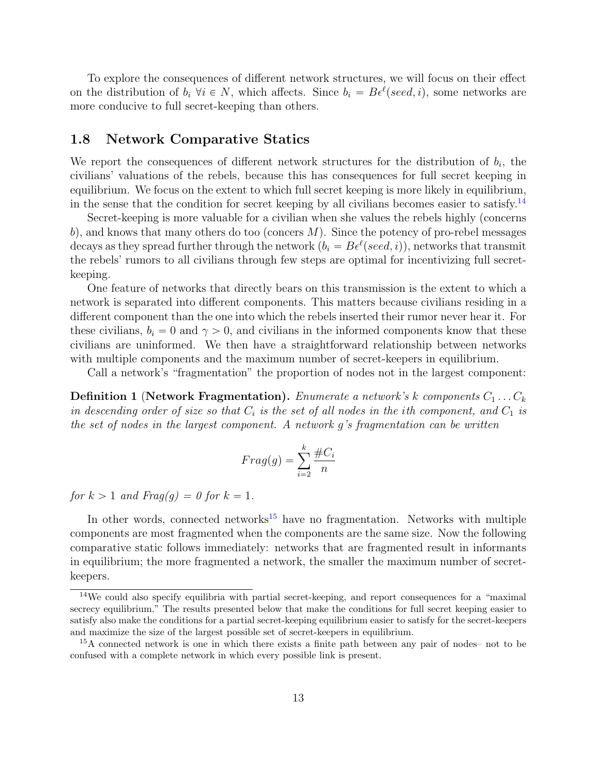To explore the consequences of different network structures, we will focus on their effect on the distribution of  $b_i \ \forall i \in N$ , which affects. Since  $b_i = B\epsilon^{\ell}(\text{seed}, i)$ , some networks are more conducive to full secret-keeping than others.

## <span id="page-12-0"></span>1.8 Network Comparative Statics

We report the consequences of different network structures for the distribution of  $b_i$ , the civilians' valuations of the rebels, because this has consequences for full secret keeping in equilibrium. We focus on the extent to which full secret keeping is more likely in equilibrium, in the sense that the condition for secret keeping by all civilians becomes easier to satisfy.<sup>[14](#page-12-1)</sup>

Secret-keeping is more valuable for a civilian when she values the rebels highly (concerns b), and knows that many others do too (concers M). Since the potency of pro-rebel messages decays as they spread further through the network  $(b_i = B\epsilon^{\ell} (seed, i))$ , networks that transmit the rebels' rumors to all civilians through few steps are optimal for incentivizing full secretkeeping.

One feature of networks that directly bears on this transmission is the extent to which a network is separated into different components. This matters because civilians residing in a different component than the one into which the rebels inserted their rumor never hear it. For these civilians,  $b_i = 0$  and  $\gamma > 0$ , and civilians in the informed components know that these civilians are uninformed. We then have a straightforward relationship between networks with multiple components and the maximum number of secret-keepers in equilibrium.

Call a network's "fragmentation" the proportion of nodes not in the largest component:

**Definition 1** (Network Fragmentation). Enumerate a network's k components  $C_1 \ldots C_k$ in descending order of size so that  $C_i$  is the set of all nodes in the ith component, and  $C_1$  is the set of nodes in the largest component. A network g's fragmentation can be written

$$
Frag(g) = \sum_{i=2}^{k} \frac{\#C_i}{n}
$$

for  $k > 1$  and  $Frag(q) = 0$  for  $k = 1$ .

In other words, connected networks<sup>[15](#page-12-2)</sup> have no fragmentation. Networks with multiple components are most fragmented when the components are the same size. Now the following comparative static follows immediately: networks that are fragmented result in informants in equilibrium; the more fragmented a network, the smaller the maximum number of secretkeepers.

<span id="page-12-1"></span> $14\text{We could also specify equilibria with partial secret-keeping, and report consequences for a "maximal" and the same context.}$ secrecy equilibrium." The results presented below that make the conditions for full secret keeping easier to satisfy also make the conditions for a partial secret-keeping equilibrium easier to satisfy for the secret-keepers and maximize the size of the largest possible set of secret-keepers in equilibrium.

<span id="page-12-2"></span><sup>15</sup>A connected network is one in which there exists a finite path between any pair of nodes– not to be confused with a complete network in which every possible link is present.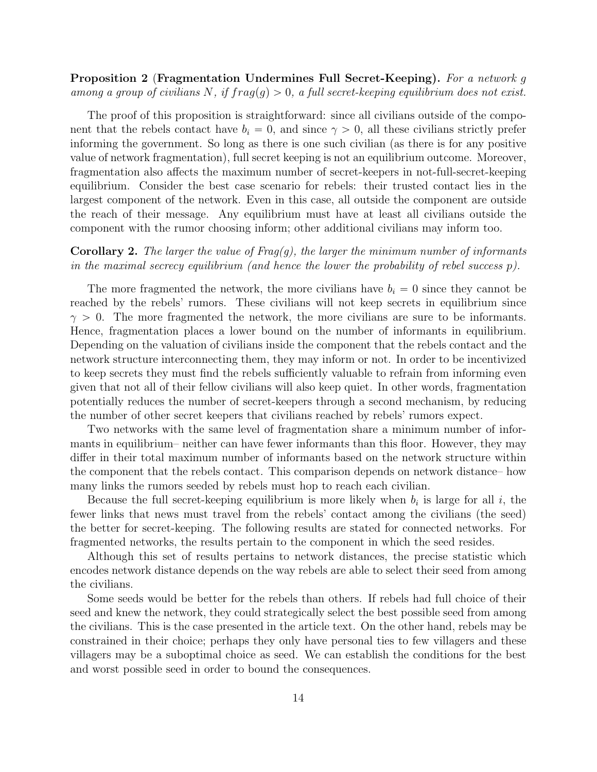### Proposition 2 (Fragmentation Undermines Full Secret-Keeping). For a network g among a group of civilians N, if  $frag(q) > 0$ , a full secret-keeping equilibrium does not exist.

The proof of this proposition is straightforward: since all civilians outside of the component that the rebels contact have  $b_i = 0$ , and since  $\gamma > 0$ , all these civilians strictly prefer informing the government. So long as there is one such civilian (as there is for any positive value of network fragmentation), full secret keeping is not an equilibrium outcome. Moreover, fragmentation also affects the maximum number of secret-keepers in not-full-secret-keeping equilibrium. Consider the best case scenario for rebels: their trusted contact lies in the largest component of the network. Even in this case, all outside the component are outside the reach of their message. Any equilibrium must have at least all civilians outside the component with the rumor choosing inform; other additional civilians may inform too.

## **Corollary 2.** The larger the value of Frag(g), the larger the minimum number of informants in the maximal secrecy equilibrium (and hence the lower the probability of rebel success  $p$ ).

The more fragmented the network, the more civilians have  $b_i = 0$  since they cannot be reached by the rebels' rumors. These civilians will not keep secrets in equilibrium since  $\gamma > 0$ . The more fragmented the network, the more civilians are sure to be informants. Hence, fragmentation places a lower bound on the number of informants in equilibrium. Depending on the valuation of civilians inside the component that the rebels contact and the network structure interconnecting them, they may inform or not. In order to be incentivized to keep secrets they must find the rebels sufficiently valuable to refrain from informing even given that not all of their fellow civilians will also keep quiet. In other words, fragmentation potentially reduces the number of secret-keepers through a second mechanism, by reducing the number of other secret keepers that civilians reached by rebels' rumors expect.

Two networks with the same level of fragmentation share a minimum number of informants in equilibrium– neither can have fewer informants than this floor. However, they may differ in their total maximum number of informants based on the network structure within the component that the rebels contact. This comparison depends on network distance– how many links the rumors seeded by rebels must hop to reach each civilian.

Because the full secret-keeping equilibrium is more likely when  $b_i$  is large for all i, the fewer links that news must travel from the rebels' contact among the civilians (the seed) the better for secret-keeping. The following results are stated for connected networks. For fragmented networks, the results pertain to the component in which the seed resides.

Although this set of results pertains to network distances, the precise statistic which encodes network distance depends on the way rebels are able to select their seed from among the civilians.

Some seeds would be better for the rebels than others. If rebels had full choice of their seed and knew the network, they could strategically select the best possible seed from among the civilians. This is the case presented in the article text. On the other hand, rebels may be constrained in their choice; perhaps they only have personal ties to few villagers and these villagers may be a suboptimal choice as seed. We can establish the conditions for the best and worst possible seed in order to bound the consequences.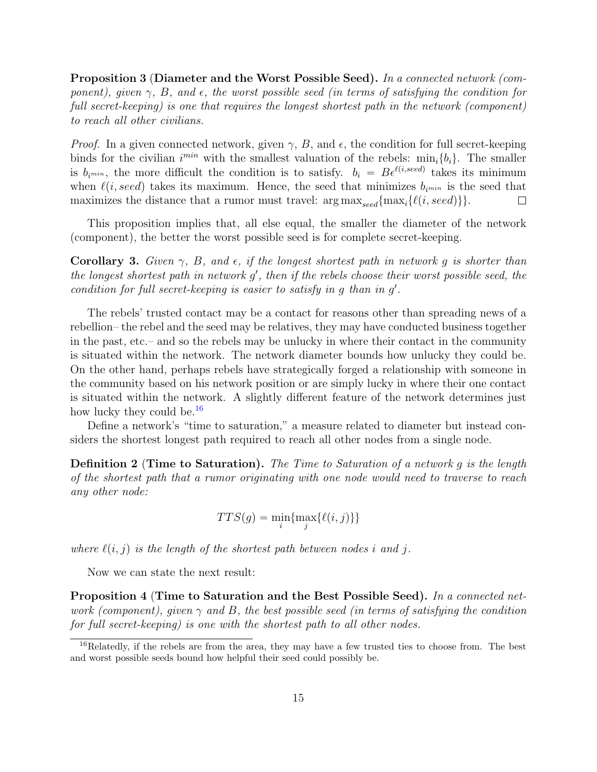<span id="page-14-1"></span>Proposition 3 (Diameter and the Worst Possible Seed). In a connected network (component), given  $\gamma$ , B, and  $\epsilon$ , the worst possible seed (in terms of satisfying the condition for full secret-keeping) is one that requires the longest shortest path in the network (component) to reach all other civilians.

*Proof.* In a given connected network, given  $\gamma$ , B, and  $\epsilon$ , the condition for full secret-keeping binds for the civilian  $i^{min}$  with the smallest valuation of the rebels:  $min_i \{b_i\}$ . The smaller is  $b_{ij}$ , the more difficult the condition is to satisfy.  $b_i = B\epsilon^{\ell(i,seed)}$  takes its minimum when  $\ell(i, seed)$  takes its maximum. Hence, the seed that minimizes  $b_{i^{min}}$  is the seed that maximizes the distance that a rumor must travel:  $\arg \max_{seed} \{ \max_i \{ \ell(i, seed) \} \}.$  $\Box$ 

This proposition implies that, all else equal, the smaller the diameter of the network (component), the better the worst possible seed is for complete secret-keeping.

**Corollary 3.** Given  $\gamma$ , B, and  $\epsilon$ , if the longest shortest path in network g is shorter than the longest shortest path in network  $g'$ , then if the rebels choose their worst possible seed, the condition for full secret-keeping is easier to satisfy in  $g$  than in  $g'$ .

The rebels' trusted contact may be a contact for reasons other than spreading news of a rebellion– the rebel and the seed may be relatives, they may have conducted business together in the past, etc.– and so the rebels may be unlucky in where their contact in the community is situated within the network. The network diameter bounds how unlucky they could be. On the other hand, perhaps rebels have strategically forged a relationship with someone in the community based on his network position or are simply lucky in where their one contact is situated within the network. A slightly different feature of the network determines just how lucky they could be.<sup>[16](#page-14-0)</sup>

Define a network's "time to saturation," a measure related to diameter but instead considers the shortest longest path required to reach all other nodes from a single node.

**Definition 2** (Time to Saturation). The Time to Saturation of a network q is the length of the shortest path that a rumor originating with one node would need to traverse to reach any other node:

$$
TTS(g) = \min_i \{ \max_j \{ \ell(i, j) \} \}
$$

where  $\ell(i, j)$  is the length of the shortest path between nodes i and j.

Now we can state the next result:

Proposition 4 (Time to Saturation and the Best Possible Seed). In a connected network (component), given  $\gamma$  and B, the best possible seed (in terms of satisfying the condition for full secret-keeping) is one with the shortest path to all other nodes.

<span id="page-14-0"></span><sup>&</sup>lt;sup>16</sup>Relatedly, if the rebels are from the area, they may have a few trusted ties to choose from. The best and worst possible seeds bound how helpful their seed could possibly be.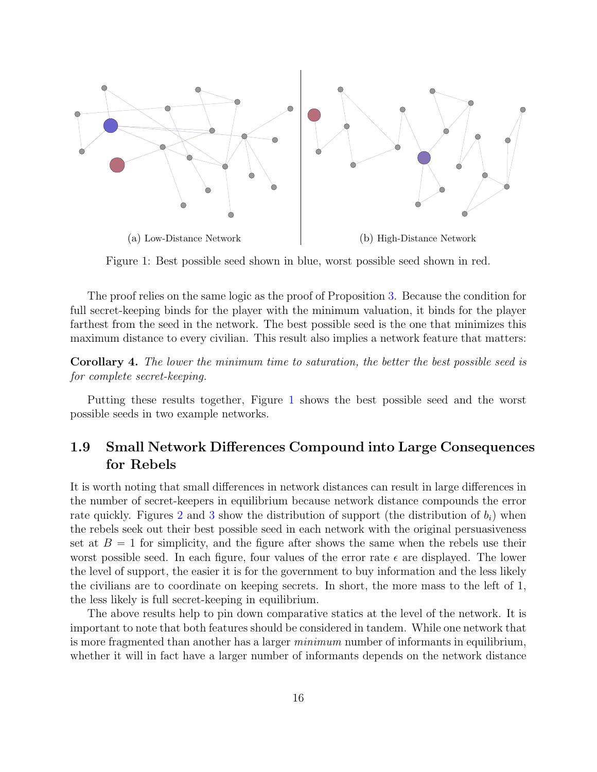<span id="page-15-1"></span>

Figure 1: Best possible seed shown in blue, worst possible seed shown in red.

The proof relies on the same logic as the proof of Proposition [3.](#page-14-1) Because the condition for full secret-keeping binds for the player with the minimum valuation, it binds for the player farthest from the seed in the network. The best possible seed is the one that minimizes this maximum distance to every civilian. This result also implies a network feature that matters:

Corollary 4. The lower the minimum time to saturation, the better the best possible seed is for complete secret-keeping.

Putting these results together, Figure [1](#page-15-1) shows the best possible seed and the worst possible seeds in two example networks.

## <span id="page-15-0"></span>1.9 Small Network Differences Compound into Large Consequences for Rebels

It is worth noting that small differences in network distances can result in large differences in the number of secret-keepers in equilibrium because network distance compounds the error rate quickly. Figures [2](#page-16-0) and [3](#page-17-0) show the distribution of support (the distribution of  $b_i$ ) when the rebels seek out their best possible seed in each network with the original persuasiveness set at  $B = 1$  for simplicity, and the figure after shows the same when the rebels use their worst possible seed. In each figure, four values of the error rate  $\epsilon$  are displayed. The lower the level of support, the easier it is for the government to buy information and the less likely the civilians are to coordinate on keeping secrets. In short, the more mass to the left of 1, the less likely is full secret-keeping in equilibrium.

The above results help to pin down comparative statics at the level of the network. It is important to note that both features should be considered in tandem. While one network that is more fragmented than another has a larger *minimum* number of informants in equilibrium, whether it will in fact have a larger number of informants depends on the network distance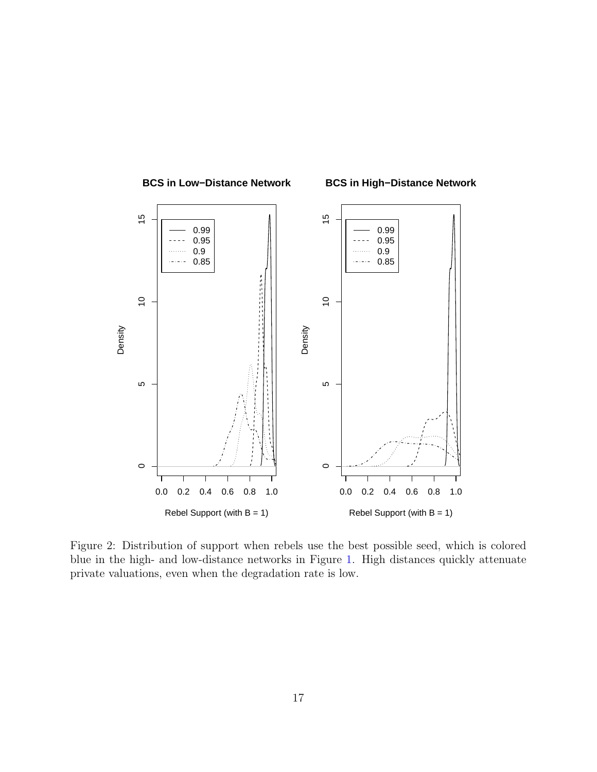<span id="page-16-0"></span>

Figure 2: Distribution of support when rebels use the best possible seed, which is colored blue in the high- and low-distance networks in Figure [1.](#page-15-1) High distances quickly attenuate private valuations, even when the degradation rate is low.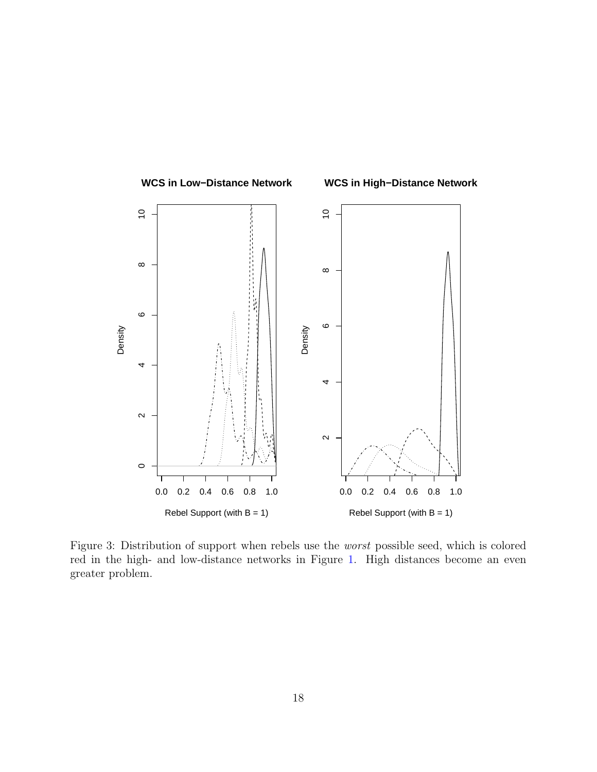<span id="page-17-0"></span>

Figure 3: Distribution of support when rebels use the worst possible seed, which is colored red in the high- and low-distance networks in Figure [1.](#page-15-1) High distances become an even greater problem.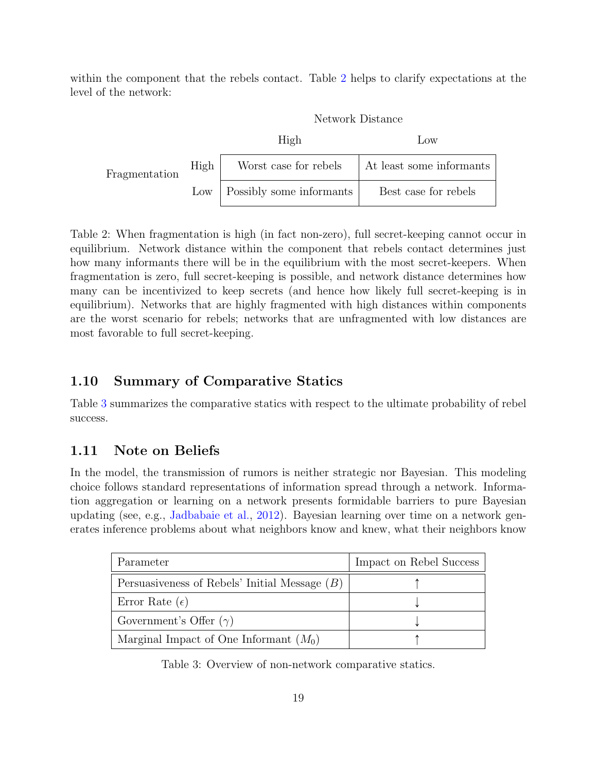<span id="page-18-2"></span>within the component that the rebels contact. Table [2](#page-18-2) helps to clarify expectations at the level of the network:

|               |      | Network Distance         |                          |  |  |  |  |
|---------------|------|--------------------------|--------------------------|--|--|--|--|
|               |      | High                     | $_{\text{LOW}}$          |  |  |  |  |
| Fragmentation | High | Worst case for rebels    | At least some informants |  |  |  |  |
|               | Low  | Possibly some informants | Best case for rebels     |  |  |  |  |

Table 2: When fragmentation is high (in fact non-zero), full secret-keeping cannot occur in equilibrium. Network distance within the component that rebels contact determines just how many informants there will be in the equilibrium with the most secret-keepers. When fragmentation is zero, full secret-keeping is possible, and network distance determines how many can be incentivized to keep secrets (and hence how likely full secret-keeping is in equilibrium). Networks that are highly fragmented with high distances within components are the worst scenario for rebels; networks that are unfragmented with low distances are most favorable to full secret-keeping.

## <span id="page-18-0"></span>1.10 Summary of Comparative Statics

Table [3](#page-18-3) summarizes the comparative statics with respect to the ultimate probability of rebel success.

## <span id="page-18-1"></span>1.11 Note on Beliefs

In the model, the transmission of rumors is neither strategic nor Bayesian. This modeling choice follows standard representations of information spread through a network. Information aggregation or learning on a network presents formidable barriers to pure Bayesian updating (see, e.g., [Jadbabaie et al.,](#page-39-9) [2012\)](#page-39-9). Bayesian learning over time on a network generates inference problems about what neighbors know and knew, what their neighbors know

<span id="page-18-3"></span>

| Parameter                                       | Impact on Rebel Success |
|-------------------------------------------------|-------------------------|
| Persuasiveness of Rebels' Initial Message $(B)$ |                         |
| Error Rate $(\epsilon)$                         |                         |
| Government's Offer $(\gamma)$                   |                         |
| Marginal Impact of One Informant $(M_0)$        |                         |

Table 3: Overview of non-network comparative statics.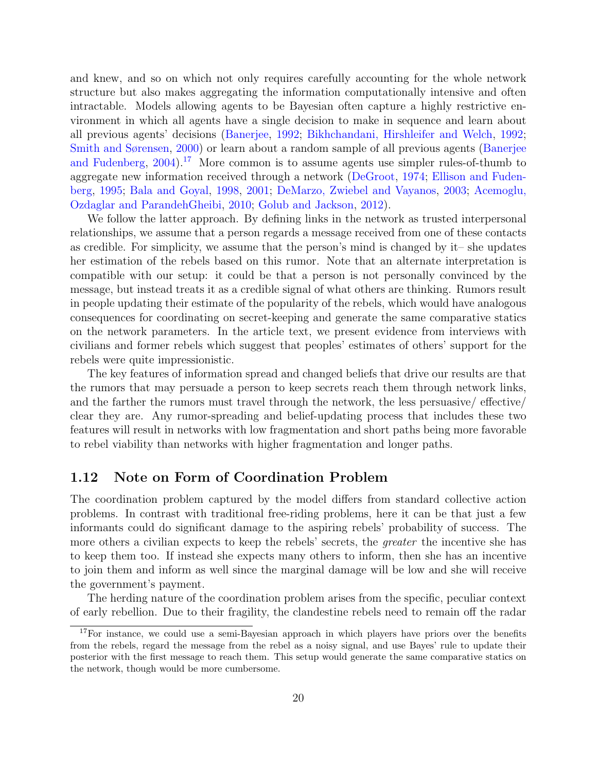and knew, and so on which not only requires carefully accounting for the whole network structure but also makes aggregating the information computationally intensive and often intractable. Models allowing agents to be Bayesian often capture a highly restrictive environment in which all agents have a single decision to make in sequence and learn about all previous agents' decisions [\(Banerjee,](#page-38-4) [1992;](#page-38-4) [Bikhchandani, Hirshleifer and Welch,](#page-38-5) [1992;](#page-38-5) [Smith and Sørensen,](#page-40-10) [2000\)](#page-40-10) or learn about a random sample of all previous agents [\(Banerjee](#page-38-6) [and Fudenberg,](#page-38-6)  $2004$ .<sup>[17](#page-19-1)</sup> More common is to assume agents use simpler rules-of-thumb to aggregate new information received through a network [\(DeGroot,](#page-38-7) [1974;](#page-38-7) [Ellison and Fuden](#page-38-8)[berg,](#page-38-8) [1995;](#page-38-8) [Bala and Goyal,](#page-38-9) [1998,](#page-38-9) [2001;](#page-38-10) [DeMarzo, Zwiebel and Vayanos,](#page-38-11) [2003;](#page-38-11) [Acemoglu,](#page-38-12) [Ozdaglar and ParandehGheibi,](#page-38-12) [2010;](#page-38-12) [Golub and Jackson,](#page-39-10) [2012\)](#page-39-10).

We follow the latter approach. By defining links in the network as trusted interpersonal relationships, we assume that a person regards a message received from one of these contacts as credible. For simplicity, we assume that the person's mind is changed by it– she updates her estimation of the rebels based on this rumor. Note that an alternate interpretation is compatible with our setup: it could be that a person is not personally convinced by the message, but instead treats it as a credible signal of what others are thinking. Rumors result in people updating their estimate of the popularity of the rebels, which would have analogous consequences for coordinating on secret-keeping and generate the same comparative statics on the network parameters. In the article text, we present evidence from interviews with civilians and former rebels which suggest that peoples' estimates of others' support for the rebels were quite impressionistic.

The key features of information spread and changed beliefs that drive our results are that the rumors that may persuade a person to keep secrets reach them through network links, and the farther the rumors must travel through the network, the less persuasive/ effective/ clear they are. Any rumor-spreading and belief-updating process that includes these two features will result in networks with low fragmentation and short paths being more favorable to rebel viability than networks with higher fragmentation and longer paths.

## <span id="page-19-0"></span>1.12 Note on Form of Coordination Problem

The coordination problem captured by the model differs from standard collective action problems. In contrast with traditional free-riding problems, here it can be that just a few informants could do significant damage to the aspiring rebels' probability of success. The more others a civilian expects to keep the rebels' secrets, the *greater* the incentive she has to keep them too. If instead she expects many others to inform, then she has an incentive to join them and inform as well since the marginal damage will be low and she will receive the government's payment.

The herding nature of the coordination problem arises from the specific, peculiar context of early rebellion. Due to their fragility, the clandestine rebels need to remain off the radar

<span id="page-19-1"></span><sup>&</sup>lt;sup>17</sup>For instance, we could use a semi-Bayesian approach in which players have priors over the benefits from the rebels, regard the message from the rebel as a noisy signal, and use Bayes' rule to update their posterior with the first message to reach them. This setup would generate the same comparative statics on the network, though would be more cumbersome.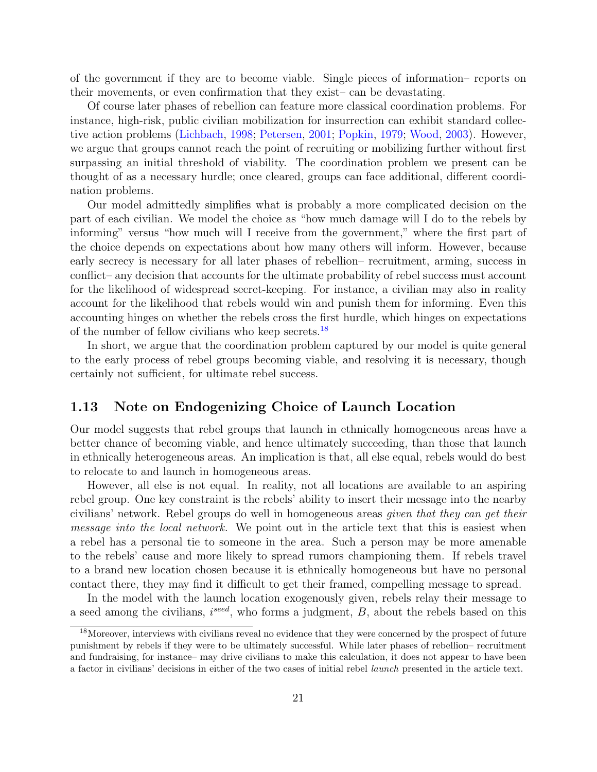of the government if they are to become viable. Single pieces of information– reports on their movements, or even confirmation that they exist– can be devastating.

Of course later phases of rebellion can feature more classical coordination problems. For instance, high-risk, public civilian mobilization for insurrection can exhibit standard collective action problems [\(Lichbach,](#page-39-11) [1998;](#page-39-11) [Petersen,](#page-40-2) [2001;](#page-40-2) [Popkin,](#page-40-11) [1979;](#page-40-11) [Wood,](#page-41-3) [2003\)](#page-41-3). However, we argue that groups cannot reach the point of recruiting or mobilizing further without first surpassing an initial threshold of viability. The coordination problem we present can be thought of as a necessary hurdle; once cleared, groups can face additional, different coordination problems.

Our model admittedly simplifies what is probably a more complicated decision on the part of each civilian. We model the choice as "how much damage will I do to the rebels by informing" versus "how much will I receive from the government," where the first part of the choice depends on expectations about how many others will inform. However, because early secrecy is necessary for all later phases of rebellion– recruitment, arming, success in conflict– any decision that accounts for the ultimate probability of rebel success must account for the likelihood of widespread secret-keeping. For instance, a civilian may also in reality account for the likelihood that rebels would win and punish them for informing. Even this accounting hinges on whether the rebels cross the first hurdle, which hinges on expectations of the number of fellow civilians who keep secrets.[18](#page-20-1)

In short, we argue that the coordination problem captured by our model is quite general to the early process of rebel groups becoming viable, and resolving it is necessary, though certainly not sufficient, for ultimate rebel success.

## <span id="page-20-0"></span>1.13 Note on Endogenizing Choice of Launch Location

Our model suggests that rebel groups that launch in ethnically homogeneous areas have a better chance of becoming viable, and hence ultimately succeeding, than those that launch in ethnically heterogeneous areas. An implication is that, all else equal, rebels would do best to relocate to and launch in homogeneous areas.

However, all else is not equal. In reality, not all locations are available to an aspiring rebel group. One key constraint is the rebels' ability to insert their message into the nearby civilians' network. Rebel groups do well in homogeneous areas given that they can get their message into the local network. We point out in the article text that this is easiest when a rebel has a personal tie to someone in the area. Such a person may be more amenable to the rebels' cause and more likely to spread rumors championing them. If rebels travel to a brand new location chosen because it is ethnically homogeneous but have no personal contact there, they may find it difficult to get their framed, compelling message to spread.

In the model with the launch location exogenously given, rebels relay their message to a seed among the civilians,  $i^{seed}$ , who forms a judgment,  $B$ , about the rebels based on this

<span id="page-20-1"></span><sup>18</sup>Moreover, interviews with civilians reveal no evidence that they were concerned by the prospect of future punishment by rebels if they were to be ultimately successful. While later phases of rebellion– recruitment and fundraising, for instance– may drive civilians to make this calculation, it does not appear to have been a factor in civilians' decisions in either of the two cases of initial rebel launch presented in the article text.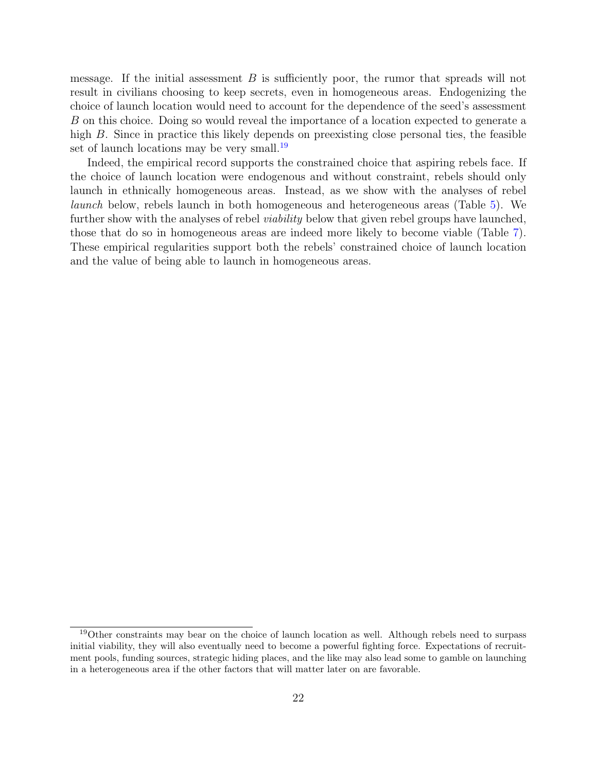message. If the initial assessment  $B$  is sufficiently poor, the rumor that spreads will not result in civilians choosing to keep secrets, even in homogeneous areas. Endogenizing the choice of launch location would need to account for the dependence of the seed's assessment B on this choice. Doing so would reveal the importance of a location expected to generate a high B. Since in practice this likely depends on preexisting close personal ties, the feasible set of launch locations may be very small.<sup>[19](#page-21-0)</sup>

Indeed, the empirical record supports the constrained choice that aspiring rebels face. If the choice of launch location were endogenous and without constraint, rebels should only launch in ethnically homogeneous areas. Instead, as we show with the analyses of rebel launch below, rebels launch in both homogeneous and heterogeneous areas (Table [5\)](#page-30-0). We further show with the analyses of rebel *viability* below that given rebel groups have launched, those that do so in homogeneous areas are indeed more likely to become viable (Table [7\)](#page-33-0). These empirical regularities support both the rebels' constrained choice of launch location and the value of being able to launch in homogeneous areas.

<span id="page-21-0"></span><sup>&</sup>lt;sup>19</sup>Other constraints may bear on the choice of launch location as well. Although rebels need to surpass initial viability, they will also eventually need to become a powerful fighting force. Expectations of recruitment pools, funding sources, strategic hiding places, and the like may also lead some to gamble on launching in a heterogeneous area if the other factors that will matter later on are favorable.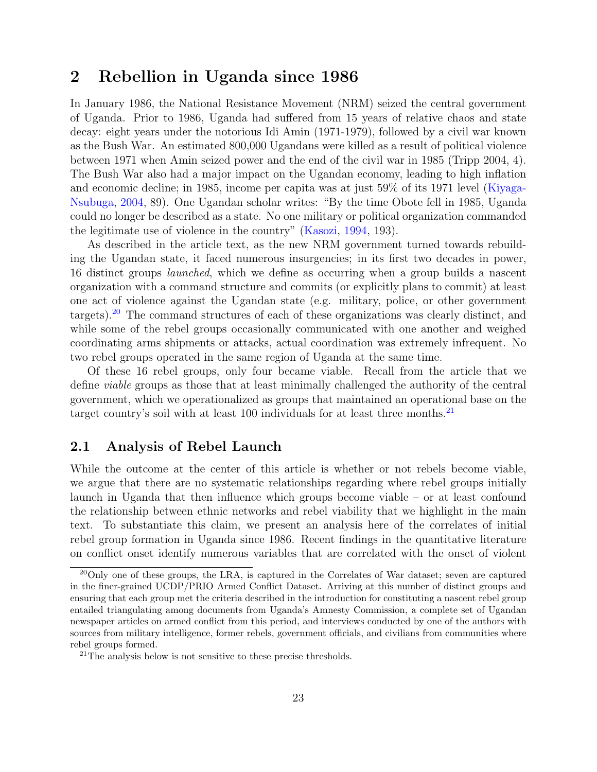## <span id="page-22-0"></span>2 Rebellion in Uganda since 1986

In January 1986, the National Resistance Movement (NRM) seized the central government of Uganda. Prior to 1986, Uganda had suffered from 15 years of relative chaos and state decay: eight years under the notorious Idi Amin (1971-1979), followed by a civil war known as the Bush War. An estimated 800,000 Ugandans were killed as a result of political violence between 1971 when Amin seized power and the end of the civil war in 1985 (Tripp 2004, 4). The Bush War also had a major impact on the Ugandan economy, leading to high inflation and economic decline; in 1985, income per capita was at just 59% of its 1971 level [\(Kiyaga-](#page-39-12)[Nsubuga,](#page-39-12) [2004,](#page-39-12) 89). One Ugandan scholar writes: "By the time Obote fell in 1985, Uganda could no longer be described as a state. No one military or political organization commanded the legitimate use of violence in the country" [\(Kasozi,](#page-39-13) [1994,](#page-39-13) 193).

As described in the article text, as the new NRM government turned towards rebuilding the Ugandan state, it faced numerous insurgencies; in its first two decades in power, 16 distinct groups *launched*, which we define as occurring when a group builds a nascent organization with a command structure and commits (or explicitly plans to commit) at least one act of violence against the Ugandan state (e.g. military, police, or other government targets).[20](#page-22-2) The command structures of each of these organizations was clearly distinct, and while some of the rebel groups occasionally communicated with one another and weighed coordinating arms shipments or attacks, actual coordination was extremely infrequent. No two rebel groups operated in the same region of Uganda at the same time.

Of these 16 rebel groups, only four became viable. Recall from the article that we define viable groups as those that at least minimally challenged the authority of the central government, which we operationalized as groups that maintained an operational base on the target country's soil with at least 100 individuals for at least three months.<sup>[21](#page-22-3)</sup>

## <span id="page-22-1"></span>2.1 Analysis of Rebel Launch

While the outcome at the center of this article is whether or not rebels become viable, we argue that there are no systematic relationships regarding where rebel groups initially launch in Uganda that then influence which groups become viable – or at least confound the relationship between ethnic networks and rebel viability that we highlight in the main text. To substantiate this claim, we present an analysis here of the correlates of initial rebel group formation in Uganda since 1986. Recent findings in the quantitative literature on conflict onset identify numerous variables that are correlated with the onset of violent

<span id="page-22-2"></span><sup>&</sup>lt;sup>20</sup>Only one of these groups, the LRA, is captured in the Correlates of War dataset; seven are captured in the finer-grained UCDP/PRIO Armed Conflict Dataset. Arriving at this number of distinct groups and ensuring that each group met the criteria described in the introduction for constituting a nascent rebel group entailed triangulating among documents from Uganda's Amnesty Commission, a complete set of Ugandan newspaper articles on armed conflict from this period, and interviews conducted by one of the authors with sources from military intelligence, former rebels, government officials, and civilians from communities where rebel groups formed.

<span id="page-22-3"></span> $21$ The analysis below is not sensitive to these precise thresholds.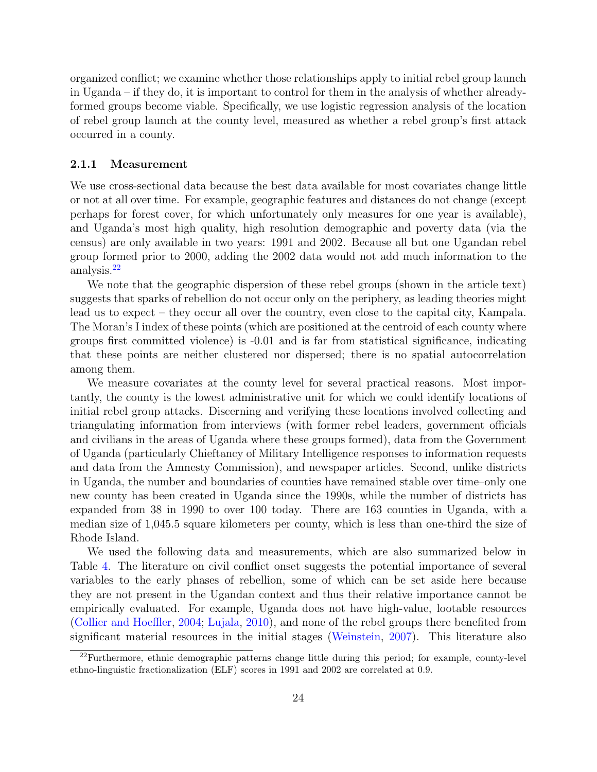organized conflict; we examine whether those relationships apply to initial rebel group launch in Uganda – if they do, it is important to control for them in the analysis of whether alreadyformed groups become viable. Specifically, we use logistic regression analysis of the location of rebel group launch at the county level, measured as whether a rebel group's first attack occurred in a county.

#### <span id="page-23-0"></span>2.1.1 Measurement

We use cross-sectional data because the best data available for most covariates change little or not at all over time. For example, geographic features and distances do not change (except perhaps for forest cover, for which unfortunately only measures for one year is available), and Uganda's most high quality, high resolution demographic and poverty data (via the census) are only available in two years: 1991 and 2002. Because all but one Ugandan rebel group formed prior to 2000, adding the 2002 data would not add much information to the analysis.[22](#page-23-1)

We note that the geographic dispersion of these rebel groups (shown in the article text) suggests that sparks of rebellion do not occur only on the periphery, as leading theories might lead us to expect – they occur all over the country, even close to the capital city, Kampala. The Moran's I index of these points (which are positioned at the centroid of each county where groups first committed violence) is -0.01 and is far from statistical significance, indicating that these points are neither clustered nor dispersed; there is no spatial autocorrelation among them.

We measure covariates at the county level for several practical reasons. Most importantly, the county is the lowest administrative unit for which we could identify locations of initial rebel group attacks. Discerning and verifying these locations involved collecting and triangulating information from interviews (with former rebel leaders, government officials and civilians in the areas of Uganda where these groups formed), data from the Government of Uganda (particularly Chieftancy of Military Intelligence responses to information requests and data from the Amnesty Commission), and newspaper articles. Second, unlike districts in Uganda, the number and boundaries of counties have remained stable over time–only one new county has been created in Uganda since the 1990s, while the number of districts has expanded from 38 in 1990 to over 100 today. There are 163 counties in Uganda, with a median size of 1,045.5 square kilometers per county, which is less than one-third the size of Rhode Island.

We used the following data and measurements, which are also summarized below in Table [4.](#page-27-1) The literature on civil conflict onset suggests the potential importance of several variables to the early phases of rebellion, some of which can be set aside here because they are not present in the Ugandan context and thus their relative importance cannot be empirically evaluated. For example, Uganda does not have high-value, lootable resources [\(Collier and Hoeffler,](#page-38-13) [2004;](#page-38-13) [Lujala,](#page-40-12) [2010\)](#page-40-12), and none of the rebel groups there benefited from significant material resources in the initial stages [\(Weinstein,](#page-41-4) [2007\)](#page-41-4). This literature also

<span id="page-23-1"></span><sup>22</sup>Furthermore, ethnic demographic patterns change little during this period; for example, county-level ethno-linguistic fractionalization (ELF) scores in 1991 and 2002 are correlated at 0.9.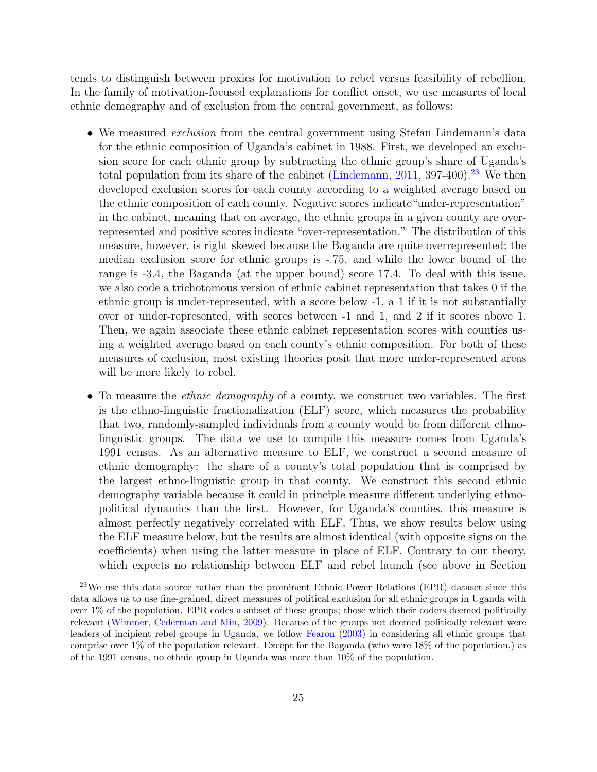tends to distinguish between proxies for motivation to rebel versus feasibility of rebellion. In the family of motivation-focused explanations for conflict onset, we use measures of local ethnic demography and of exclusion from the central government, as follows:

- We measured *exclusion* from the central government using Stefan Lindemann's data for the ethnic composition of Uganda's cabinet in 1988. First, we developed an exclusion score for each ethnic group by subtracting the ethnic group's share of Uganda's total population from its share of the cabinet [\(Lindemann,](#page-40-13) [2011,](#page-40-13) 397-400).<sup>[23](#page-24-0)</sup> We then developed exclusion scores for each county according to a weighted average based on the ethnic composition of each county. Negative scores indicate"under-representation" in the cabinet, meaning that on average, the ethnic groups in a given county are overrepresented and positive scores indicate "over-representation." The distribution of this measure, however, is right skewed because the Baganda are quite overrepresented; the median exclusion score for ethnic groups is -.75, and while the lower bound of the range is -3.4, the Baganda (at the upper bound) score 17.4. To deal with this issue, we also code a trichotomous version of ethnic cabinet representation that takes 0 if the ethnic group is under-represented, with a score below -1, a 1 if it is not substantially over or under-represented, with scores between -1 and 1, and 2 if it scores above 1. Then, we again associate these ethnic cabinet representation scores with counties using a weighted average based on each county's ethnic composition. For both of these measures of exclusion, most existing theories posit that more under-represented areas will be more likely to rebel.
- To measure the *ethnic demography* of a county, we construct two variables. The first is the ethno-linguistic fractionalization (ELF) score, which measures the probability that two, randomly-sampled individuals from a county would be from different ethnolinguistic groups. The data we use to compile this measure comes from Uganda's 1991 census. As an alternative measure to ELF, we construct a second measure of ethnic demography: the share of a county's total population that is comprised by the largest ethno-linguistic group in that county. We construct this second ethnic demography variable because it could in principle measure different underlying ethnopolitical dynamics than the first. However, for Uganda's counties, this measure is almost perfectly negatively correlated with ELF. Thus, we show results below using the ELF measure below, but the results are almost identical (with opposite signs on the coefficients) when using the latter measure in place of ELF. Contrary to our theory, which expects no relationship between ELF and rebel launch (see above in Section

<span id="page-24-0"></span><sup>&</sup>lt;sup>23</sup>We use this data source rather than the prominent Ethnic Power Relations (EPR) dataset since this data allows us to use fine-grained, direct measures of political exclusion for all ethnic groups in Uganda with over 1% of the population. EPR codes a subset of these groups; those which their coders deemed politically relevant [\(Wimmer, Cederman and Min,](#page-41-5) [2009\)](#page-41-5). Because of the groups not deemed politically relevant were leaders of incipient rebel groups in Uganda, we follow [Fearon](#page-39-14) [\(2003\)](#page-39-14) in considering all ethnic groups that comprise over 1% of the population relevant. Except for the Baganda (who were 18% of the population,) as of the 1991 census, no ethnic group in Uganda was more than 10% of the population.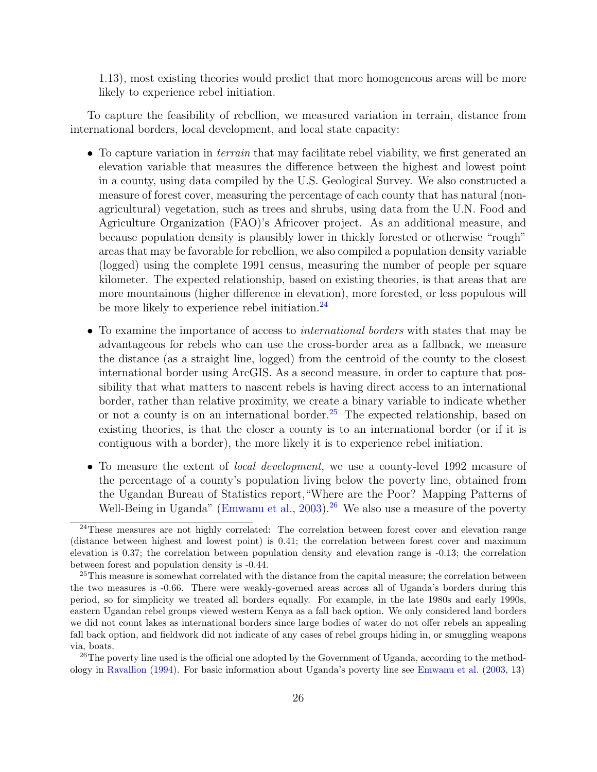1.13), most existing theories would predict that more homogeneous areas will be more likely to experience rebel initiation.

To capture the feasibility of rebellion, we measured variation in terrain, distance from international borders, local development, and local state capacity:

- To capture variation in *terrain* that may facilitate rebel viability, we first generated an elevation variable that measures the difference between the highest and lowest point in a county, using data compiled by the U.S. Geological Survey. We also constructed a measure of forest cover, measuring the percentage of each county that has natural (nonagricultural) vegetation, such as trees and shrubs, using data from the U.N. Food and Agriculture Organization (FAO)'s Africover project. As an additional measure, and because population density is plausibly lower in thickly forested or otherwise "rough" areas that may be favorable for rebellion, we also compiled a population density variable (logged) using the complete 1991 census, measuring the number of people per square kilometer. The expected relationship, based on existing theories, is that areas that are more mountainous (higher difference in elevation), more forested, or less populous will be more likely to experience rebel initiation.<sup>[24](#page-25-0)</sup>
- To examine the importance of access to *international borders* with states that may be advantageous for rebels who can use the cross-border area as a fallback, we measure the distance (as a straight line, logged) from the centroid of the county to the closest international border using ArcGIS. As a second measure, in order to capture that possibility that what matters to nascent rebels is having direct access to an international border, rather than relative proximity, we create a binary variable to indicate whether or not a county is on an international border.<sup>[25](#page-25-1)</sup> The expected relationship, based on existing theories, is that the closer a county is to an international border (or if it is contiguous with a border), the more likely it is to experience rebel initiation.
- To measure the extent of *local development*, we use a county-level 1992 measure of the percentage of a county's population living below the poverty line, obtained from the Ugandan Bureau of Statistics report,"Where are the Poor? Mapping Patterns of Well-Being in Uganda" [\(Emwanu et al.,](#page-39-15)  $2003$ ).<sup>[26](#page-25-2)</sup> We also use a measure of the poverty

<span id="page-25-0"></span> $^{24}$ These measures are not highly correlated: The correlation between forest cover and elevation range (distance between highest and lowest point) is 0.41; the correlation between forest cover and maximum elevation is 0.37; the correlation between population density and elevation range is -0.13; the correlation between forest and population density is -0.44.

<span id="page-25-1"></span><sup>&</sup>lt;sup>25</sup>This measure is somewhat correlated with the distance from the capital measure; the correlation between the two measures is -0.66. There were weakly-governed areas across all of Uganda's borders during this period, so for simplicity we treated all borders equally. For example, in the late 1980s and early 1990s, eastern Ugandan rebel groups viewed western Kenya as a fall back option. We only considered land borders we did not count lakes as international borders since large bodies of water do not offer rebels an appealing fall back option, and fieldwork did not indicate of any cases of rebel groups hiding in, or smuggling weapons via, boats.

<span id="page-25-2"></span><sup>&</sup>lt;sup>26</sup>The poverty line used is the official one adopted by the Government of Uganda, according to the methodology in [Ravallion](#page-40-14) [\(1994\)](#page-40-14). For basic information about Uganda's poverty line see [Emwanu et al.](#page-39-15) [\(2003,](#page-39-15) 13)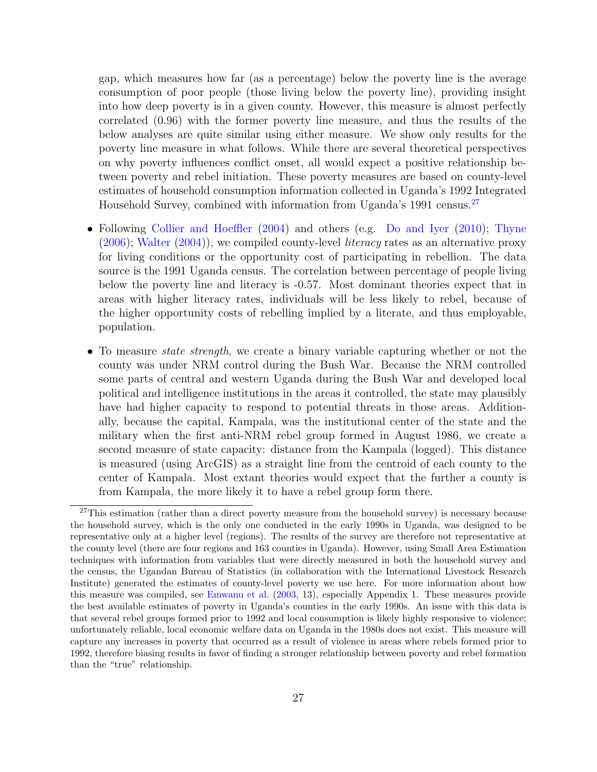gap, which measures how far (as a percentage) below the poverty line is the average consumption of poor people (those living below the poverty line), providing insight into how deep poverty is in a given county. However, this measure is almost perfectly correlated (0.96) with the former poverty line measure, and thus the results of the below analyses are quite similar using either measure. We show only results for the poverty line measure in what follows. While there are several theoretical perspectives on why poverty influences conflict onset, all would expect a positive relationship between poverty and rebel initiation. These poverty measures are based on county-level estimates of household consumption information collected in Uganda's 1992 Integrated Household Survey, combined with information from Uganda's 1991 census.<sup>[27](#page-26-0)</sup>

- Following [Collier and Hoeffler](#page-38-13) [\(2004\)](#page-38-13) and others (e.g. [Do and Iyer](#page-38-14) [\(2010\)](#page-38-14); [Thyne](#page-40-15)  $(2006)$ ; [Walter](#page-41-6)  $(2004)$ , we compiled county-level *literacy* rates as an alternative proxy for living conditions or the opportunity cost of participating in rebellion. The data source is the 1991 Uganda census. The correlation between percentage of people living below the poverty line and literacy is -0.57. Most dominant theories expect that in areas with higher literacy rates, individuals will be less likely to rebel, because of the higher opportunity costs of rebelling implied by a literate, and thus employable, population.
- To measure *state strength*, we create a binary variable capturing whether or not the county was under NRM control during the Bush War. Because the NRM controlled some parts of central and western Uganda during the Bush War and developed local political and intelligence institutions in the areas it controlled, the state may plausibly have had higher capacity to respond to potential threats in those areas. Additionally, because the capital, Kampala, was the institutional center of the state and the military when the first anti-NRM rebel group formed in August 1986, we create a second measure of state capacity: distance from the Kampala (logged). This distance is measured (using ArcGIS) as a straight line from the centroid of each county to the center of Kampala. Most extant theories would expect that the further a county is from Kampala, the more likely it to have a rebel group form there.

<span id="page-26-0"></span> $27$ This estimation (rather than a direct poverty measure from the household survey) is necessary because the household survey, which is the only one conducted in the early 1990s in Uganda, was designed to be representative only at a higher level (regions). The results of the survey are therefore not representative at the county level (there are four regions and 163 counties in Uganda). However, using Small Area Estimation techniques with information from variables that were directly measured in both the household survey and the census, the Ugandan Bureau of Statistics (in collaboration with the International Livestock Research Institute) generated the estimates of county-level poverty we use here. For more information about how this measure was compiled, see [Emwanu et al.](#page-39-15) [\(2003,](#page-39-15) 13), especially Appendix 1. These measures provide the best available estimates of poverty in Uganda's counties in the early 1990s. An issue with this data is that several rebel groups formed prior to 1992 and local consumption is likely highly responsive to violence; unfortunately reliable, local economic welfare data on Uganda in the 1980s does not exist. This measure will capture any increases in poverty that occurred as a result of violence in areas where rebels formed prior to 1992, therefore biasing results in favor of finding a stronger relationship between poverty and rebel formation than the "true" relationship.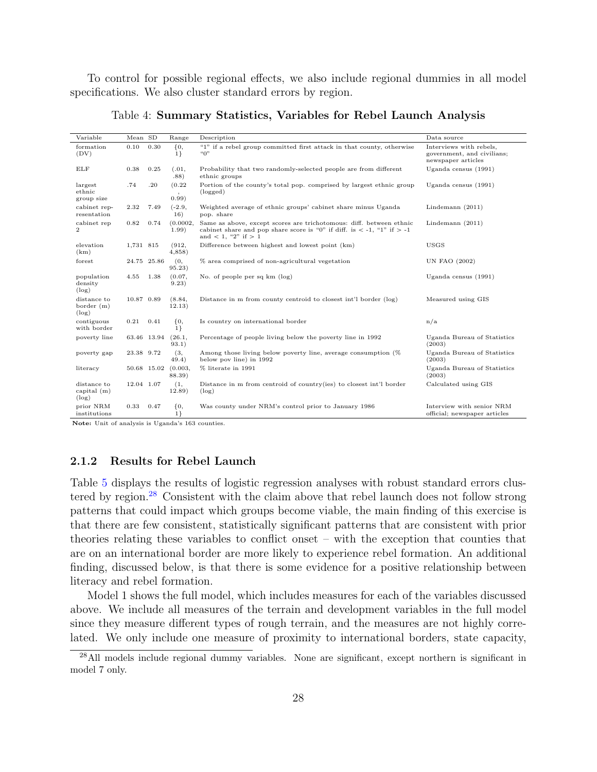To control for possible regional effects, we also include regional dummies in all model specifications. We also cluster standard errors by region.

<span id="page-27-1"></span>

| Variable                                 | Mean SD    |             | Range                         | Description                                                                                                                                                                     | Data source                                                                 |
|------------------------------------------|------------|-------------|-------------------------------|---------------------------------------------------------------------------------------------------------------------------------------------------------------------------------|-----------------------------------------------------------------------------|
| formation<br>(DV)                        | 0.10       | 0.30        | ${0,$<br>1                    | "1" if a rebel group committed first attack in that county, otherwise<br>``O"                                                                                                   | Interviews with rebels.<br>government, and civilians;<br>newspaper articles |
| ELF                                      | 0.38       | 0.25        | (.01,<br>.88)                 | Probability that two randomly-selected people are from different<br>ethnic groups                                                                                               | Uganda census $(1991)$                                                      |
| largest<br>ethnic<br>group size          | .74        | .20         | (0.22)<br>$\cdot$<br>(0.99)   | Portion of the county's total pop. comprised by largest ethnic group<br>(logged)                                                                                                | Uganda census $(1991)$                                                      |
| cabinet rep-<br>resentation              | 2.32       | 7.49        | $(-2.9,$<br>16)               | Weighted average of ethnic groups' cabinet share minus Uganda<br>pop. share                                                                                                     | Lindemann $(2011)$                                                          |
| cabinet rep<br>$\overline{2}$            | 0.82       | 0.74        | (0.0002,<br>1.99)             | Same as above, except scores are trichotomous: diff. between ethnic<br>cabinet share and pop share score is "0" if diff. is $\lt$ -1, "1" if $>$ -1<br>and $< 1$ , "2" if $> 1$ | Lindemann $(2011)$                                                          |
| elevation<br>(km)                        | 1,731 815  |             | (912,<br>4,858)               | Difference between highest and lowest point (km)                                                                                                                                | <b>USGS</b>                                                                 |
| forest                                   |            | 24.75 25.86 | (0,<br>95.23)                 | % area comprised of non-agricultural vegetation                                                                                                                                 | UN FAO (2002)                                                               |
| population<br>density<br>$(\log)$        | 4.55       | 1.38        | (0.07,<br>9.23)               | No. of people per sq km (log)                                                                                                                                                   | Uganda census $(1991)$                                                      |
| distance to<br>border $(m)$<br>$(\log)$  | 10.87 0.89 |             | (8.84,<br>12.13)              | Distance in m from county centroid to closest int'l border (log)                                                                                                                | Measured using GIS                                                          |
| contiguous<br>with border                | 0.21       | 0.41        | $\{0,$<br>1                   | Is country on international border                                                                                                                                              | n/a                                                                         |
| poverty line                             |            | 63.46 13.94 | (26.1,<br>93.1)               | Percentage of people living below the poverty line in 1992                                                                                                                      | Uganda Bureau of Statistics<br>(2003)                                       |
| poverty gap                              | 23.38 9.72 |             | (3,<br>49.4)                  | Among those living below poverty line, average consumption (%)<br>below pov line) in 1992                                                                                       | Uganda Bureau of Statistics<br>(2003)                                       |
| literacy                                 |            |             | 50.68 15.02 (0.003,<br>88.39) | % literate in 1991                                                                                                                                                              | Uganda Bureau of Statistics<br>(2003)                                       |
| distance to<br>capital $(m)$<br>$(\log)$ | 12.04 1.07 |             | (1,<br>12.89)                 | Distance in m from centroid of country(ies) to closest int'l border<br>$(\log)$                                                                                                 | Calculated using GIS                                                        |
| prior NRM<br>institutions                | 0.33       | 0.47        | ${0,$<br>$1\}$                | Was county under NRM's control prior to January 1986                                                                                                                            | Interview with senior NRM<br>official; newspaper articles                   |

Table 4: Summary Statistics, Variables for Rebel Launch Analysis

Note: Unit of analysis is Uganda's 163 counties.

### <span id="page-27-0"></span>2.1.2 Results for Rebel Launch

Table [5](#page-30-0) displays the results of logistic regression analyses with robust standard errors clustered by region.[28](#page-27-2) Consistent with the claim above that rebel launch does not follow strong patterns that could impact which groups become viable, the main finding of this exercise is that there are few consistent, statistically significant patterns that are consistent with prior theories relating these variables to conflict onset – with the exception that counties that are on an international border are more likely to experience rebel formation. An additional finding, discussed below, is that there is some evidence for a positive relationship between literacy and rebel formation.

Model 1 shows the full model, which includes measures for each of the variables discussed above. We include all measures of the terrain and development variables in the full model since they measure different types of rough terrain, and the measures are not highly correlated. We only include one measure of proximity to international borders, state capacity,

<span id="page-27-2"></span><sup>&</sup>lt;sup>28</sup>All models include regional dummy variables. None are significant, except northern is significant in model 7 only.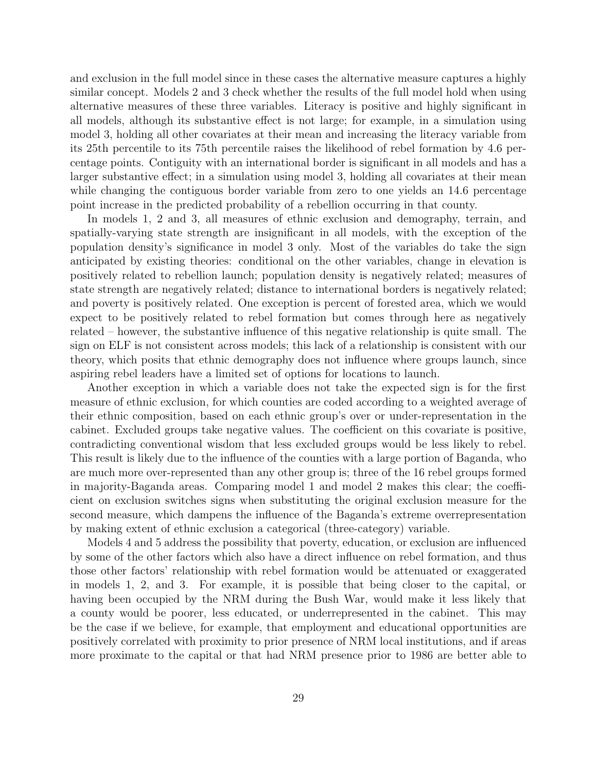and exclusion in the full model since in these cases the alternative measure captures a highly similar concept. Models 2 and 3 check whether the results of the full model hold when using alternative measures of these three variables. Literacy is positive and highly significant in all models, although its substantive effect is not large; for example, in a simulation using model 3, holding all other covariates at their mean and increasing the literacy variable from its 25th percentile to its 75th percentile raises the likelihood of rebel formation by 4.6 percentage points. Contiguity with an international border is significant in all models and has a larger substantive effect; in a simulation using model 3, holding all covariates at their mean while changing the contiguous border variable from zero to one yields an 14.6 percentage point increase in the predicted probability of a rebellion occurring in that county.

In models 1, 2 and 3, all measures of ethnic exclusion and demography, terrain, and spatially-varying state strength are insignificant in all models, with the exception of the population density's significance in model 3 only. Most of the variables do take the sign anticipated by existing theories: conditional on the other variables, change in elevation is positively related to rebellion launch; population density is negatively related; measures of state strength are negatively related; distance to international borders is negatively related; and poverty is positively related. One exception is percent of forested area, which we would expect to be positively related to rebel formation but comes through here as negatively related – however, the substantive influence of this negative relationship is quite small. The sign on ELF is not consistent across models; this lack of a relationship is consistent with our theory, which posits that ethnic demography does not influence where groups launch, since aspiring rebel leaders have a limited set of options for locations to launch.

Another exception in which a variable does not take the expected sign is for the first measure of ethnic exclusion, for which counties are coded according to a weighted average of their ethnic composition, based on each ethnic group's over or under-representation in the cabinet. Excluded groups take negative values. The coefficient on this covariate is positive, contradicting conventional wisdom that less excluded groups would be less likely to rebel. This result is likely due to the influence of the counties with a large portion of Baganda, who are much more over-represented than any other group is; three of the 16 rebel groups formed in majority-Baganda areas. Comparing model 1 and model 2 makes this clear; the coefficient on exclusion switches signs when substituting the original exclusion measure for the second measure, which dampens the influence of the Baganda's extreme overrepresentation by making extent of ethnic exclusion a categorical (three-category) variable.

Models 4 and 5 address the possibility that poverty, education, or exclusion are influenced by some of the other factors which also have a direct influence on rebel formation, and thus those other factors' relationship with rebel formation would be attenuated or exaggerated in models 1, 2, and 3. For example, it is possible that being closer to the capital, or having been occupied by the NRM during the Bush War, would make it less likely that a county would be poorer, less educated, or underrepresented in the cabinet. This may be the case if we believe, for example, that employment and educational opportunities are positively correlated with proximity to prior presence of NRM local institutions, and if areas more proximate to the capital or that had NRM presence prior to 1986 are better able to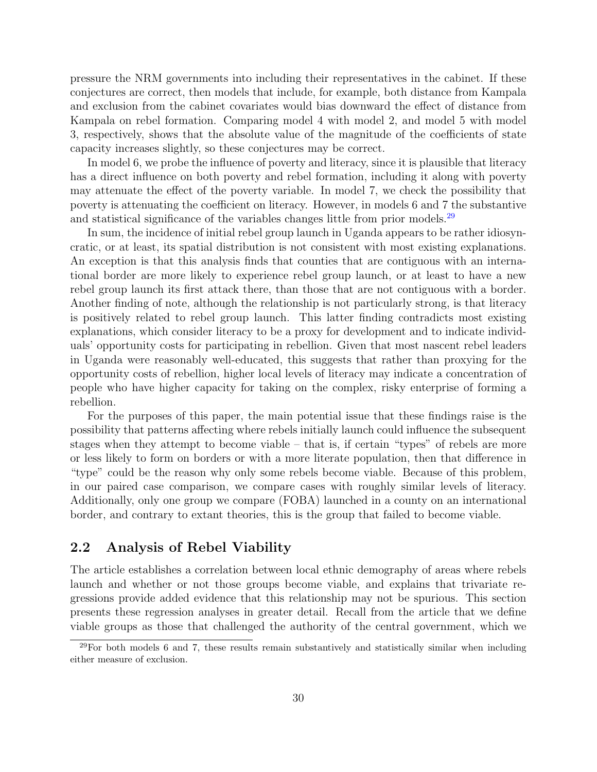pressure the NRM governments into including their representatives in the cabinet. If these conjectures are correct, then models that include, for example, both distance from Kampala and exclusion from the cabinet covariates would bias downward the effect of distance from Kampala on rebel formation. Comparing model 4 with model 2, and model 5 with model 3, respectively, shows that the absolute value of the magnitude of the coefficients of state capacity increases slightly, so these conjectures may be correct.

In model 6, we probe the influence of poverty and literacy, since it is plausible that literacy has a direct influence on both poverty and rebel formation, including it along with poverty may attenuate the effect of the poverty variable. In model 7, we check the possibility that poverty is attenuating the coefficient on literacy. However, in models 6 and 7 the substantive and statistical significance of the variables changes little from prior models.<sup>[29](#page-29-1)</sup>

In sum, the incidence of initial rebel group launch in Uganda appears to be rather idiosyncratic, or at least, its spatial distribution is not consistent with most existing explanations. An exception is that this analysis finds that counties that are contiguous with an international border are more likely to experience rebel group launch, or at least to have a new rebel group launch its first attack there, than those that are not contiguous with a border. Another finding of note, although the relationship is not particularly strong, is that literacy is positively related to rebel group launch. This latter finding contradicts most existing explanations, which consider literacy to be a proxy for development and to indicate individuals' opportunity costs for participating in rebellion. Given that most nascent rebel leaders in Uganda were reasonably well-educated, this suggests that rather than proxying for the opportunity costs of rebellion, higher local levels of literacy may indicate a concentration of people who have higher capacity for taking on the complex, risky enterprise of forming a rebellion.

For the purposes of this paper, the main potential issue that these findings raise is the possibility that patterns affecting where rebels initially launch could influence the subsequent stages when they attempt to become viable – that is, if certain "types" of rebels are more or less likely to form on borders or with a more literate population, then that difference in "type" could be the reason why only some rebels become viable. Because of this problem, in our paired case comparison, we compare cases with roughly similar levels of literacy. Additionally, only one group we compare (FOBA) launched in a county on an international border, and contrary to extant theories, this is the group that failed to become viable.

## <span id="page-29-0"></span>2.2 Analysis of Rebel Viability

The article establishes a correlation between local ethnic demography of areas where rebels launch and whether or not those groups become viable, and explains that trivariate regressions provide added evidence that this relationship may not be spurious. This section presents these regression analyses in greater detail. Recall from the article that we define viable groups as those that challenged the authority of the central government, which we

<span id="page-29-1"></span> $29$ For both models 6 and 7, these results remain substantively and statistically similar when including either measure of exclusion.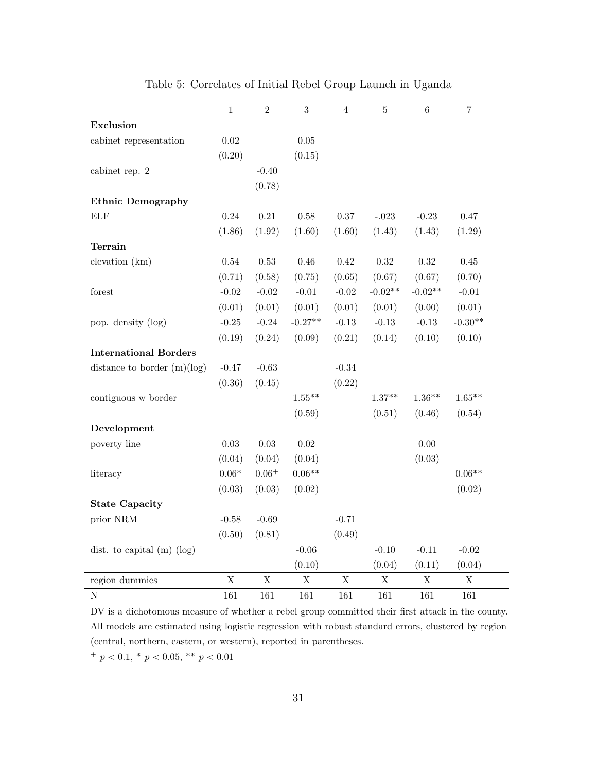<span id="page-30-0"></span>

|                               | $\mathbf{1}$             | $\overline{2}$ | 3           | $\overline{4}$ | $\bf 5$     | 6           | 7           |
|-------------------------------|--------------------------|----------------|-------------|----------------|-------------|-------------|-------------|
| Exclusion                     |                          |                |             |                |             |             |             |
| cabinet representation        | $0.02\,$                 |                | $0.05\,$    |                |             |             |             |
|                               | (0.20)                   |                | (0.15)      |                |             |             |             |
| cabinet rep. 2                |                          | $-0.40$        |             |                |             |             |             |
|                               |                          | (0.78)         |             |                |             |             |             |
| <b>Ethnic Demography</b>      |                          |                |             |                |             |             |             |
| ${\rm ELF}$                   | 0.24                     | $\rm 0.21$     | 0.58        | $0.37\,$       | $-.023$     | $-0.23$     | 0.47        |
|                               | (1.86)                   | (1.92)         | (1.60)      | (1.60)         | (1.43)      | (1.43)      | (1.29)      |
| <b>Terrain</b>                |                          |                |             |                |             |             |             |
| elevation (km)                | $0.54\,$                 | $0.53\,$       | 0.46        | $\rm 0.42$     | $0.32\,$    | $\rm 0.32$  | $0.45\,$    |
|                               | (0.71)                   | (0.58)         | (0.75)      | (0.65)         | (0.67)      | (0.67)      | (0.70)      |
| forest                        | $-0.02$                  | $-0.02$        | $-0.01$     | $-0.02$        | $-0.02**$   | $-0.02**$   | $-0.01$     |
|                               | (0.01)                   | (0.01)         | (0.01)      | (0.01)         | (0.01)      | (0.00)      | (0.01)      |
| pop. density (log)            | $-0.25$                  | $-0.24$        | $-0.27**$   | $-0.13$        | $-0.13$     | $-0.13$     | $-0.30**$   |
|                               | (0.19)                   | (0.24)         | (0.09)      | (0.21)         | (0.14)      | (0.10)      | (0.10)      |
| <b>International Borders</b>  |                          |                |             |                |             |             |             |
| distance to border $(m)(log)$ | $-0.47$                  | $-0.63$        |             | $-0.34$        |             |             |             |
|                               | (0.36)                   | (0.45)         |             | (0.22)         |             |             |             |
| contiguous w border           |                          |                | $1.55***$   |                | $1.37**$    | $1.36**$    | $1.65***$   |
|                               |                          |                | (0.59)      |                | (0.51)      | (0.46)      | (0.54)      |
| Development                   |                          |                |             |                |             |             |             |
| poverty line                  | 0.03                     | $\rm 0.03$     | 0.02        |                |             | $0.00\,$    |             |
|                               | (0.04)                   | (0.04)         | (0.04)      |                |             | (0.03)      |             |
| literacy                      | $0.06\ensuremath{^\ast}$ | $0.06^+$       | $0.06**$    |                |             |             | $0.06**$    |
|                               | (0.03)                   | (0.03)         | (0.02)      |                |             |             | (0.02)      |
| <b>State Capacity</b>         |                          |                |             |                |             |             |             |
| prior NRM                     | $-0.58$                  | $-0.69$        |             | $-0.71$        |             |             |             |
|                               | (0.50)                   | (0.81)         |             | (0.49)         |             |             |             |
| dist. to capital $(m)$ (log)  |                          |                | $-0.06$     |                | $-0.10$     | $-0.11$     | $-0.02$     |
|                               |                          |                | (0.10)      |                | (0.04)      | (0.11)      | (0.04)      |
| region dummies                | $\rm X$                  | $\mathbf X$    | $\mathbf X$ | $\mathbf X$    | $\mathbf X$ | $\mathbf X$ | $\mathbf X$ |
| $\overline{N}$                | 161                      | 161            | 161         | 161            | 161         | 161         | 161         |

Table 5: Correlates of Initial Rebel Group Launch in Uganda

DV is a dichotomous measure of whether a rebel group committed their first attack in the county. All models are estimated using logistic regression with robust standard errors, clustered by region (central, northern, eastern, or western), reported in parentheses.

 $p < 0.1, \frac{*}{p} < 0.05, \frac{*}{p} < 0.01$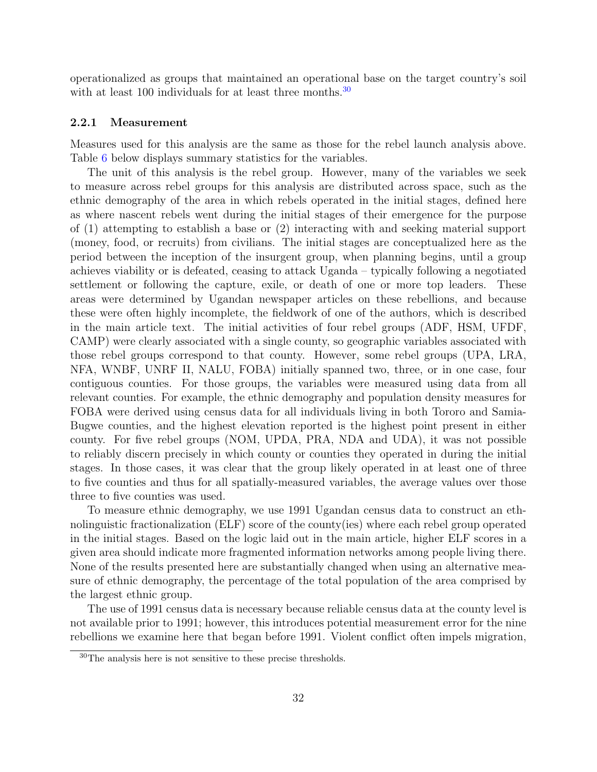operationalized as groups that maintained an operational base on the target country's soil with at least 100 individuals for at least three months.<sup>[30](#page-31-1)</sup>

#### <span id="page-31-0"></span>2.2.1 Measurement

Measures used for this analysis are the same as those for the rebel launch analysis above. Table [6](#page-32-1) below displays summary statistics for the variables.

The unit of this analysis is the rebel group. However, many of the variables we seek to measure across rebel groups for this analysis are distributed across space, such as the ethnic demography of the area in which rebels operated in the initial stages, defined here as where nascent rebels went during the initial stages of their emergence for the purpose of (1) attempting to establish a base or (2) interacting with and seeking material support (money, food, or recruits) from civilians. The initial stages are conceptualized here as the period between the inception of the insurgent group, when planning begins, until a group achieves viability or is defeated, ceasing to attack Uganda – typically following a negotiated settlement or following the capture, exile, or death of one or more top leaders. These areas were determined by Ugandan newspaper articles on these rebellions, and because these were often highly incomplete, the fieldwork of one of the authors, which is described in the main article text. The initial activities of four rebel groups (ADF, HSM, UFDF, CAMP) were clearly associated with a single county, so geographic variables associated with those rebel groups correspond to that county. However, some rebel groups (UPA, LRA, NFA, WNBF, UNRF II, NALU, FOBA) initially spanned two, three, or in one case, four contiguous counties. For those groups, the variables were measured using data from all relevant counties. For example, the ethnic demography and population density measures for FOBA were derived using census data for all individuals living in both Tororo and Samia-Bugwe counties, and the highest elevation reported is the highest point present in either county. For five rebel groups (NOM, UPDA, PRA, NDA and UDA), it was not possible to reliably discern precisely in which county or counties they operated in during the initial stages. In those cases, it was clear that the group likely operated in at least one of three to five counties and thus for all spatially-measured variables, the average values over those three to five counties was used.

To measure ethnic demography, we use 1991 Ugandan census data to construct an ethnolinguistic fractionalization (ELF) score of the county(ies) where each rebel group operated in the initial stages. Based on the logic laid out in the main article, higher ELF scores in a given area should indicate more fragmented information networks among people living there. None of the results presented here are substantially changed when using an alternative measure of ethnic demography, the percentage of the total population of the area comprised by the largest ethnic group.

The use of 1991 census data is necessary because reliable census data at the county level is not available prior to 1991; however, this introduces potential measurement error for the nine rebellions we examine here that began before 1991. Violent conflict often impels migration,

<span id="page-31-1"></span><sup>30</sup>The analysis here is not sensitive to these precise thresholds.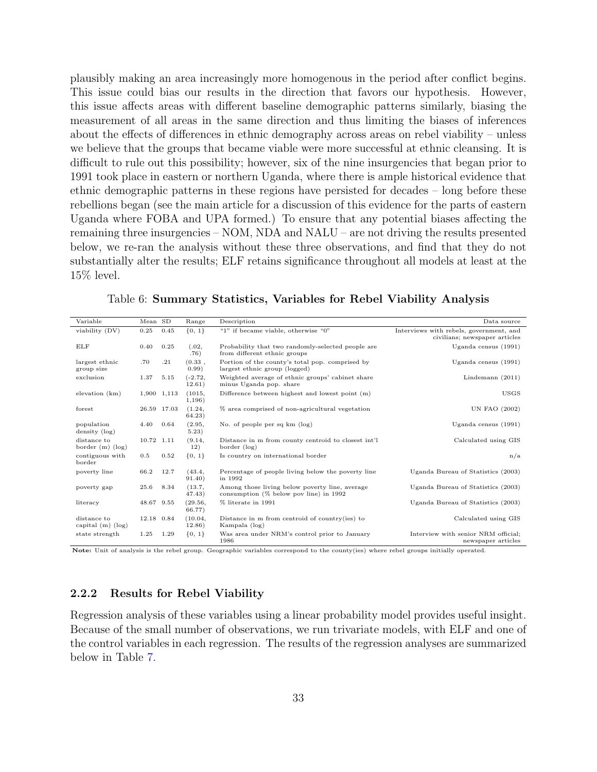plausibly making an area increasingly more homogenous in the period after conflict begins. This issue could bias our results in the direction that favors our hypothesis. However, this issue affects areas with different baseline demographic patterns similarly, biasing the measurement of all areas in the same direction and thus limiting the biases of inferences about the effects of differences in ethnic demography across areas on rebel viability – unless we believe that the groups that became viable were more successful at ethnic cleansing. It is difficult to rule out this possibility; however, six of the nine insurgencies that began prior to 1991 took place in eastern or northern Uganda, where there is ample historical evidence that ethnic demographic patterns in these regions have persisted for decades – long before these rebellions began (see the main article for a discussion of this evidence for the parts of eastern Uganda where FOBA and UPA formed.) To ensure that any potential biases affecting the remaining three insurgencies – NOM, NDA and NALU – are not driving the results presented below, we re-ran the analysis without these three observations, and find that they do not substantially alter the results; ELF retains significance throughout all models at least at the 15% level.

<span id="page-32-1"></span>

| Variable                             | Mean SD    |             | Range               | Description                                                                                 | Data source                                                              |
|--------------------------------------|------------|-------------|---------------------|---------------------------------------------------------------------------------------------|--------------------------------------------------------------------------|
| viability (DV)                       | 0.25       | 0.45        | ${0, 1}$            | "1" if became viable, otherwise "0"                                                         | Interviews with rebels, government, and<br>civilians; newspaper articles |
| ELF                                  | 0.40       | 0.25        | (.02,<br>.76)       | Probability that two randomly-selected people are<br>from different ethnic groups           | Uganda census $(1991)$                                                   |
| largest ethnic<br>group size         | .70        | .21         | (0.33,<br>0.99)     | Portion of the county's total pop. comprised by<br>largest ethnic group (logged)            | Uganda census (1991)                                                     |
| exclusion                            | 1.37       | 5.15        | $(-2.72,$<br>12.61) | Weighted average of ethnic groups' cabinet share<br>minus Uganda pop. share                 | Lindemann $(2011)$                                                       |
| elevation (km)                       |            | 1,900 1,113 | (1015,<br>1,196)    | Difference between highest and lowest point $(m)$                                           | <b>USGS</b>                                                              |
| forest                               |            | 26.59 17.03 | (1.24,<br>64.23)    | % area comprised of non-agricultural vegetation                                             | UN FAO (2002)                                                            |
| population<br>density (log)          | 4.40       | 0.64        | (2.95,<br>5.23)     | No. of people per sq km (log)                                                               | Uganda census $(1991)$                                                   |
| distance to<br>border $(m)$ (log)    | 10.72 1.11 |             | (9.14,<br>12)       | Distance in m from county centroid to closest int'l<br>border (log)                         | Calculated using GIS                                                     |
| contiguous with<br>border            | 0.5        | 0.52        | ${0, 1}$            | Is country on international border                                                          | n/a                                                                      |
| poverty line                         | 66.2       | 12.7        | (43.4,<br>91.40)    | Percentage of people living below the poverty line<br>in 1992                               | Uganda Bureau of Statistics (2003)                                       |
| poverty gap                          | 25.6       | 8.34        | (13.7,<br>47.43)    | Among those living below poverty line, average<br>consumption $(\%$ below pov line) in 1992 | Uganda Bureau of Statistics (2003)                                       |
| literacy                             | 48.67 9.55 |             | (29.56,<br>66.77)   | % literate in 1991                                                                          | Uganda Bureau of Statistics (2003)                                       |
| distance to<br>capital $(m)$ $(log)$ | 12.18 0.84 |             | (10.04,<br>12.86)   | Distance in $m$ from centroid of country(ies) to<br>Kampala (log)                           | Calculated using GIS                                                     |
| state strength                       | 1.25       | 1.29        | ${0, 1}$            | Was area under NRM's control prior to January<br>1986                                       | Interview with senior NRM official:<br>newspaper articles                |

Table 6: Summary Statistics, Variables for Rebel Viability Analysis

Note: Unit of analysis is the rebel group. Geographic variables correspond to the county(ies) where rebel groups initially operated.

## <span id="page-32-0"></span>2.2.2 Results for Rebel Viability

Regression analysis of these variables using a linear probability model provides useful insight. Because of the small number of observations, we run trivariate models, with ELF and one of the control variables in each regression. The results of the regression analyses are summarized below in Table [7.](#page-33-0)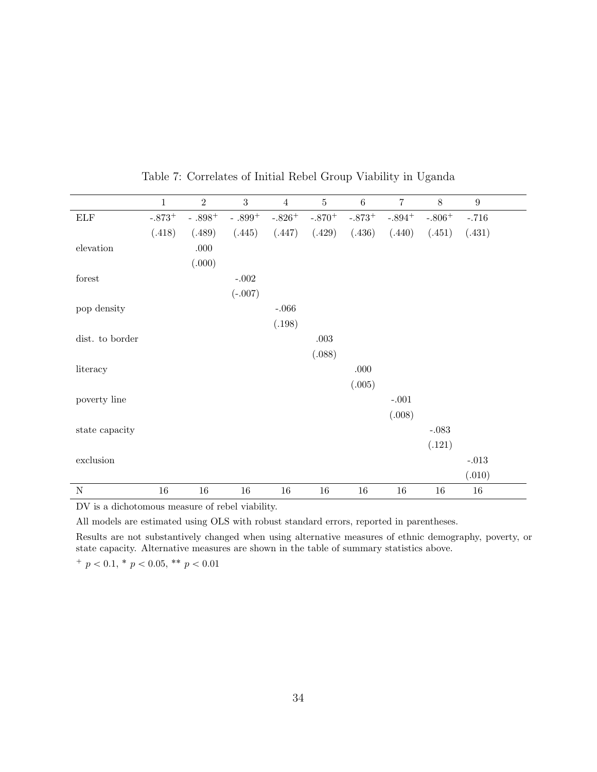<span id="page-33-0"></span>

|                 | $\mathbf{1}$ | $\overline{2}$ | 3         | $\overline{4}$ | $\bf 5$  | $6\,$    | $\overline{7}$ | $8\,$    | $\boldsymbol{9}$ |
|-----------------|--------------|----------------|-----------|----------------|----------|----------|----------------|----------|------------------|
| <b>ELF</b>      | $-.873+$     | - $.898^+$     | $-.899+$  | $-.826+$       | $-.870+$ | $-.873+$ | $-.894+$       | $-.806+$ | $-.716$          |
|                 | (.418)       | (.489)         | (.445)    | (.447)         | (.429)   | (.436)   | (.440)         | (.451)   | (.431)           |
| elevation       |              | $.000$         |           |                |          |          |                |          |                  |
|                 |              | (.000)         |           |                |          |          |                |          |                  |
| forest          |              |                | $-.002$   |                |          |          |                |          |                  |
|                 |              |                | $(-.007)$ |                |          |          |                |          |                  |
| pop density     |              |                |           | $-.066$        |          |          |                |          |                  |
|                 |              |                |           | (.198)         |          |          |                |          |                  |
| dist. to border |              |                |           |                | $.003$   |          |                |          |                  |
|                 |              |                |           |                | (.088)   |          |                |          |                  |
| literacy        |              |                |           |                |          | $.000$   |                |          |                  |
|                 |              |                |           |                |          | (.005)   |                |          |                  |
| poverty line    |              |                |           |                |          |          | $-.001$        |          |                  |
|                 |              |                |           |                |          |          | (.008)         |          |                  |
| state capacity  |              |                |           |                |          |          |                | $-.083$  |                  |
|                 |              |                |           |                |          |          |                | (.121)   |                  |
| exclusion       |              |                |           |                |          |          |                |          | $-.013$          |
|                 |              |                |           |                |          |          |                |          | (.010)           |
| $\mathbf N$     | $16\,$       | $16\,$         | $16\,$    | $16\,$         | $16\,$   | 16       | $16\,$         | 16       | $16\,$           |

Table 7: Correlates of Initial Rebel Group Viability in Uganda

DV is a dichotomous measure of rebel viability.

All models are estimated using OLS with robust standard errors, reported in parentheses.

Results are not substantively changed when using alternative measures of ethnic demography, poverty, or state capacity. Alternative measures are shown in the table of summary statistics above.

 $^{+}$  p  $< 0.1,$  \* p  $< 0.05,$  \*\* p  $< 0.01$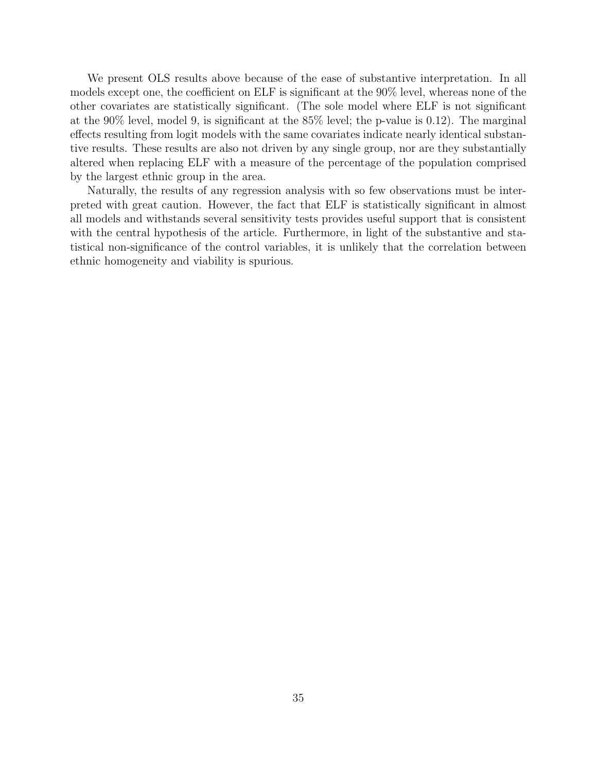We present OLS results above because of the ease of substantive interpretation. In all models except one, the coefficient on ELF is significant at the 90% level, whereas none of the other covariates are statistically significant. (The sole model where ELF is not significant at the 90% level, model 9, is significant at the 85% level; the p-value is 0.12). The marginal effects resulting from logit models with the same covariates indicate nearly identical substantive results. These results are also not driven by any single group, nor are they substantially altered when replacing ELF with a measure of the percentage of the population comprised by the largest ethnic group in the area.

Naturally, the results of any regression analysis with so few observations must be interpreted with great caution. However, the fact that ELF is statistically significant in almost all models and withstands several sensitivity tests provides useful support that is consistent with the central hypothesis of the article. Furthermore, in light of the substantive and statistical non-significance of the control variables, it is unlikely that the correlation between ethnic homogeneity and viability is spurious.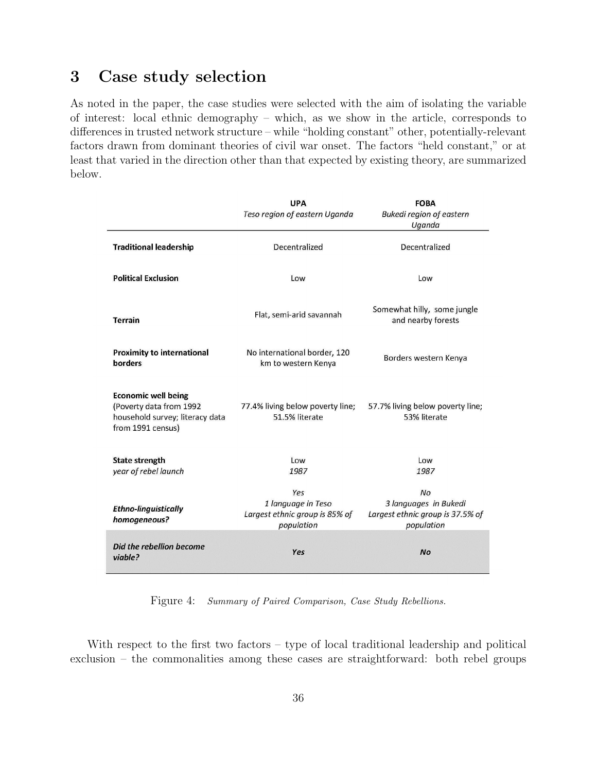# <span id="page-35-0"></span>3 Case study selection

As noted in the paper, the case studies were selected with the aim of isolating the variable of interest: local ethnic demography – which, as we show in the article, corresponds to differences in trusted network structure – while "holding constant" other, potentially-relevant factors drawn from dominant theories of civil war onset. The factors "held constant," or at least that varied in the direction other than that expected by existing theory, are summarized below.

|                                                                                                               | <b>UPA</b><br>Teso region of eastern Uganda                               | <b>FOBA</b><br><b>Bukedi region of eastern</b><br>Uganda                             |
|---------------------------------------------------------------------------------------------------------------|---------------------------------------------------------------------------|--------------------------------------------------------------------------------------|
| <b>Traditional leadership</b>                                                                                 | Decentralized                                                             | Decentralized                                                                        |
| <b>Political Exclusion</b>                                                                                    | Low                                                                       | Low                                                                                  |
| <b>Terrain</b>                                                                                                | Flat, semi-arid savannah                                                  | Somewhat hilly, some jungle<br>and nearby forests                                    |
| <b>Proximity to international</b><br>borders                                                                  | No international border, 120<br>km to western Kenya                       | Borders western Kenya                                                                |
| <b>Economic well being</b><br>(Poverty data from 1992<br>household survey; literacy data<br>from 1991 census) | 77.4% living below poverty line;<br>51.5% literate                        | 57.7% living below poverty line;<br>53% literate                                     |
| <b>State strength</b><br>year of rebel launch                                                                 | Low<br>1987                                                               | Low<br>1987                                                                          |
| <b>Ethno-linguistically</b><br>homogeneous?                                                                   | Yes<br>1 language in Teso<br>Largest ethnic group is 85% of<br>population | <b>No</b><br>3 languages in Bukedi<br>Largest ethnic group is 37.5% of<br>population |
| Did the rebellion become<br>viable?                                                                           | Yes                                                                       | <b>No</b>                                                                            |

Figure 4: Summary of Paired Comparison, Case Study Rebellions.

With respect to the first two factors – type of local traditional leadership and political exclusion – the commonalities among these cases are straightforward: both rebel groups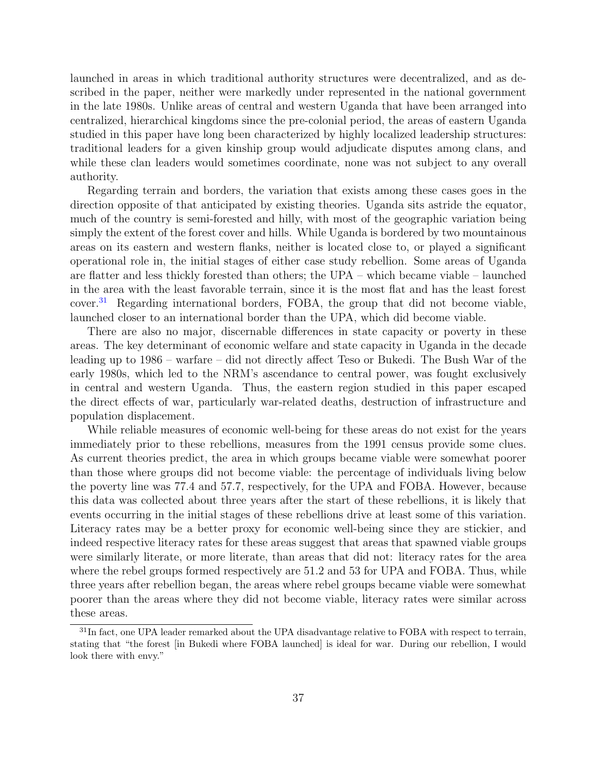launched in areas in which traditional authority structures were decentralized, and as described in the paper, neither were markedly under represented in the national government in the late 1980s. Unlike areas of central and western Uganda that have been arranged into centralized, hierarchical kingdoms since the pre-colonial period, the areas of eastern Uganda studied in this paper have long been characterized by highly localized leadership structures: traditional leaders for a given kinship group would adjudicate disputes among clans, and while these clan leaders would sometimes coordinate, none was not subject to any overall authority.

Regarding terrain and borders, the variation that exists among these cases goes in the direction opposite of that anticipated by existing theories. Uganda sits astride the equator, much of the country is semi-forested and hilly, with most of the geographic variation being simply the extent of the forest cover and hills. While Uganda is bordered by two mountainous areas on its eastern and western flanks, neither is located close to, or played a significant operational role in, the initial stages of either case study rebellion. Some areas of Uganda are flatter and less thickly forested than others; the UPA – which became viable – launched in the area with the least favorable terrain, since it is the most flat and has the least forest cover.<sup>[31](#page-36-0)</sup> Regarding international borders, FOBA, the group that did not become viable, launched closer to an international border than the UPA, which did become viable.

There are also no major, discernable differences in state capacity or poverty in these areas. The key determinant of economic welfare and state capacity in Uganda in the decade leading up to 1986 – warfare – did not directly affect Teso or Bukedi. The Bush War of the early 1980s, which led to the NRM's ascendance to central power, was fought exclusively in central and western Uganda. Thus, the eastern region studied in this paper escaped the direct effects of war, particularly war-related deaths, destruction of infrastructure and population displacement.

While reliable measures of economic well-being for these areas do not exist for the years immediately prior to these rebellions, measures from the 1991 census provide some clues. As current theories predict, the area in which groups became viable were somewhat poorer than those where groups did not become viable: the percentage of individuals living below the poverty line was 77.4 and 57.7, respectively, for the UPA and FOBA. However, because this data was collected about three years after the start of these rebellions, it is likely that events occurring in the initial stages of these rebellions drive at least some of this variation. Literacy rates may be a better proxy for economic well-being since they are stickier, and indeed respective literacy rates for these areas suggest that areas that spawned viable groups were similarly literate, or more literate, than areas that did not: literacy rates for the area where the rebel groups formed respectively are 51.2 and 53 for UPA and FOBA. Thus, while three years after rebellion began, the areas where rebel groups became viable were somewhat poorer than the areas where they did not become viable, literacy rates were similar across these areas.

<span id="page-36-0"></span><sup>&</sup>lt;sup>31</sup>In fact, one UPA leader remarked about the UPA disadvantage relative to FOBA with respect to terrain, stating that "the forest [in Bukedi where FOBA launched] is ideal for war. During our rebellion, I would look there with envy."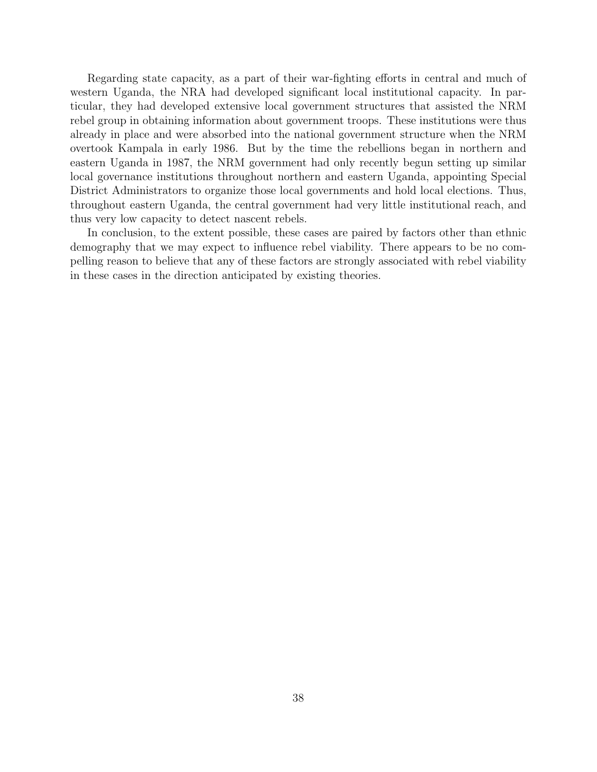Regarding state capacity, as a part of their war-fighting efforts in central and much of western Uganda, the NRA had developed significant local institutional capacity. In particular, they had developed extensive local government structures that assisted the NRM rebel group in obtaining information about government troops. These institutions were thus already in place and were absorbed into the national government structure when the NRM overtook Kampala in early 1986. But by the time the rebellions began in northern and eastern Uganda in 1987, the NRM government had only recently begun setting up similar local governance institutions throughout northern and eastern Uganda, appointing Special District Administrators to organize those local governments and hold local elections. Thus, throughout eastern Uganda, the central government had very little institutional reach, and thus very low capacity to detect nascent rebels.

In conclusion, to the extent possible, these cases are paired by factors other than ethnic demography that we may expect to influence rebel viability. There appears to be no compelling reason to believe that any of these factors are strongly associated with rebel viability in these cases in the direction anticipated by existing theories.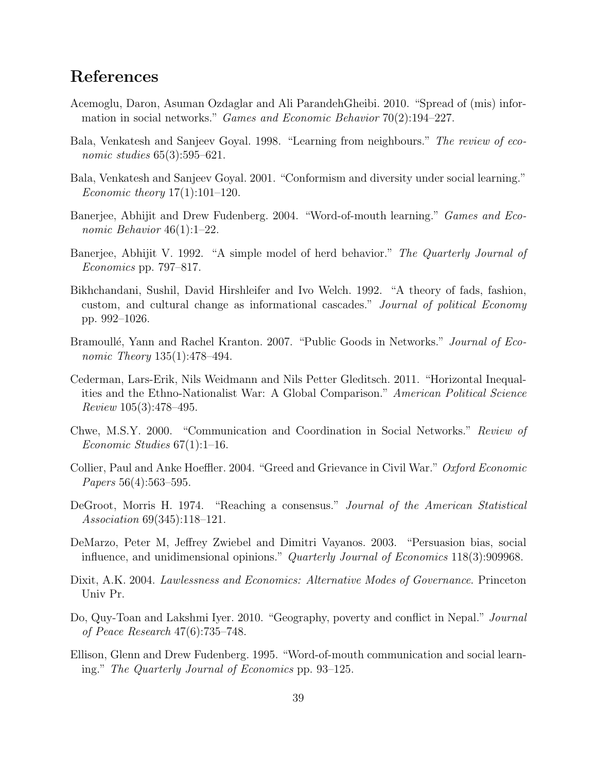# References

- <span id="page-38-12"></span>Acemoglu, Daron, Asuman Ozdaglar and Ali ParandehGheibi. 2010. "Spread of (mis) information in social networks." Games and Economic Behavior 70(2):194–227.
- <span id="page-38-9"></span>Bala, Venkatesh and Sanjeev Goyal. 1998. "Learning from neighbours." The review of economic studies  $65(3):595-621$ .
- <span id="page-38-10"></span>Bala, Venkatesh and Sanjeev Goyal. 2001. "Conformism and diversity under social learning." *Economic theory*  $17(1):101-120$ .
- <span id="page-38-6"></span>Banerjee, Abhijit and Drew Fudenberg. 2004. "Word-of-mouth learning." Games and Economic Behavior 46(1):1–22.
- <span id="page-38-4"></span>Banerjee, Abhijit V. 1992. "A simple model of herd behavior." The Quarterly Journal of Economics pp. 797–817.
- <span id="page-38-5"></span>Bikhchandani, Sushil, David Hirshleifer and Ivo Welch. 1992. "A theory of fads, fashion, custom, and cultural change as informational cascades." Journal of political Economy pp. 992–1026.
- <span id="page-38-3"></span>Bramoullé, Yann and Rachel Kranton. 2007. "Public Goods in Networks." Journal of Economic Theory 135(1):478-494.
- <span id="page-38-0"></span>Cederman, Lars-Erik, Nils Weidmann and Nils Petter Gleditsch. 2011. "Horizontal Inequalities and the Ethno-Nationalist War: A Global Comparison." American Political Science Review 105(3):478–495.
- <span id="page-38-1"></span>Chwe, M.S.Y. 2000. "Communication and Coordination in Social Networks." Review of Economic Studies 67(1):1–16.
- <span id="page-38-13"></span>Collier, Paul and Anke Hoeffler. 2004. "Greed and Grievance in Civil War." Oxford Economic Papers 56(4):563–595.
- <span id="page-38-7"></span>DeGroot, Morris H. 1974. "Reaching a consensus." Journal of the American Statistical Association 69(345):118–121.
- <span id="page-38-11"></span>DeMarzo, Peter M, Jeffrey Zwiebel and Dimitri Vayanos. 2003. "Persuasion bias, social influence, and unidimensional opinions." Quarterly Journal of Economics 118(3):909968.
- <span id="page-38-2"></span>Dixit, A.K. 2004. Lawlessness and Economics: Alternative Modes of Governance. Princeton Univ Pr.
- <span id="page-38-14"></span>Do, Quy-Toan and Lakshmi Iyer. 2010. "Geography, poverty and conflict in Nepal." Journal of Peace Research 47(6):735–748.
- <span id="page-38-8"></span>Ellison, Glenn and Drew Fudenberg. 1995. "Word-of-mouth communication and social learning." The Quarterly Journal of Economics pp. 93–125.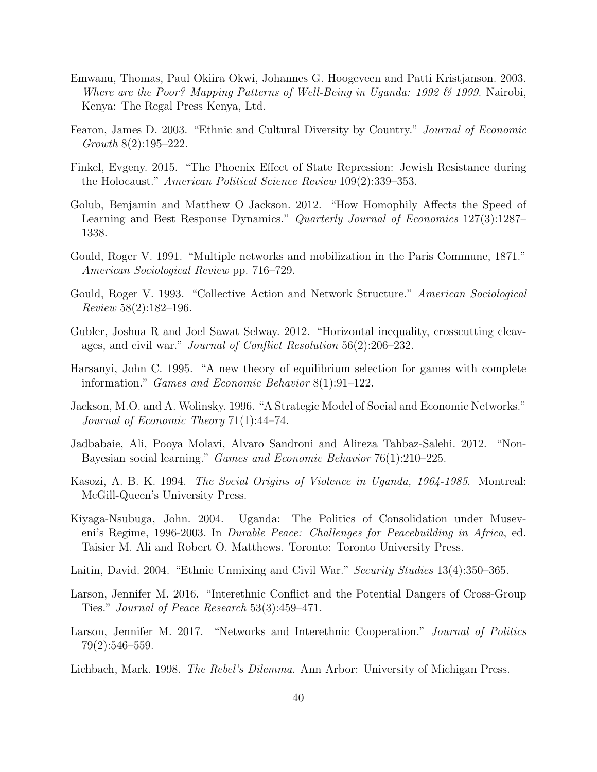- <span id="page-39-15"></span>Emwanu, Thomas, Paul Okiira Okwi, Johannes G. Hoogeveen and Patti Kristjanson. 2003. Where are the Poor? Mapping Patterns of Well-Being in Uganda: 1992  $\mathcal{B}$  1999. Nairobi, Kenya: The Regal Press Kenya, Ltd.
- <span id="page-39-14"></span>Fearon, James D. 2003. "Ethnic and Cultural Diversity by Country." Journal of Economic Growth 8(2):195–222.
- <span id="page-39-7"></span>Finkel, Evgeny. 2015. "The Phoenix Effect of State Repression: Jewish Resistance during the Holocaust." American Political Science Review 109(2):339–353.
- <span id="page-39-10"></span>Golub, Benjamin and Matthew O Jackson. 2012. "How Homophily Affects the Speed of Learning and Best Response Dynamics." Quarterly Journal of Economics 127(3):1287– 1338.
- <span id="page-39-1"></span>Gould, Roger V. 1991. "Multiple networks and mobilization in the Paris Commune, 1871." American Sociological Review pp. 716–729.
- <span id="page-39-3"></span>Gould, Roger V. 1993. "Collective Action and Network Structure." American Sociological Review 58(2):182–196.
- <span id="page-39-2"></span>Gubler, Joshua R and Joel Sawat Selway. 2012. "Horizontal inequality, crosscutting cleavages, and civil war." Journal of Conflict Resolution 56(2):206–232.
- <span id="page-39-8"></span>Harsanyi, John C. 1995. "A new theory of equilibrium selection for games with complete information." Games and Economic Behavior 8(1):91–122.
- <span id="page-39-4"></span>Jackson, M.O. and A. Wolinsky. 1996. "A Strategic Model of Social and Economic Networks." Journal of Economic Theory 71(1):44–74.
- <span id="page-39-9"></span>Jadbabaie, Ali, Pooya Molavi, Alvaro Sandroni and Alireza Tahbaz-Salehi. 2012. "Non-Bayesian social learning." Games and Economic Behavior 76(1):210–225.
- <span id="page-39-13"></span>Kasozi, A. B. K. 1994. The Social Origins of Violence in Uganda, 1964-1985. Montreal: McGill-Queen's University Press.
- <span id="page-39-12"></span>Kiyaga-Nsubuga, John. 2004. Uganda: The Politics of Consolidation under Museveni's Regime, 1996-2003. In *Durable Peace: Challenges for Peacebuilding in Africa*, ed. Taisier M. Ali and Robert O. Matthews. Toronto: Toronto University Press.
- <span id="page-39-0"></span>Laitin, David. 2004. "Ethnic Unmixing and Civil War." Security Studies 13(4):350–365.
- <span id="page-39-5"></span>Larson, Jennifer M. 2016. "Interethnic Conflict and the Potential Dangers of Cross-Group Ties." Journal of Peace Research 53(3):459–471.
- <span id="page-39-6"></span>Larson, Jennifer M. 2017. "Networks and Interethnic Cooperation." *Journal of Politics* 79(2):546–559.
- <span id="page-39-11"></span>Lichbach, Mark. 1998. The Rebel's Dilemma. Ann Arbor: University of Michigan Press.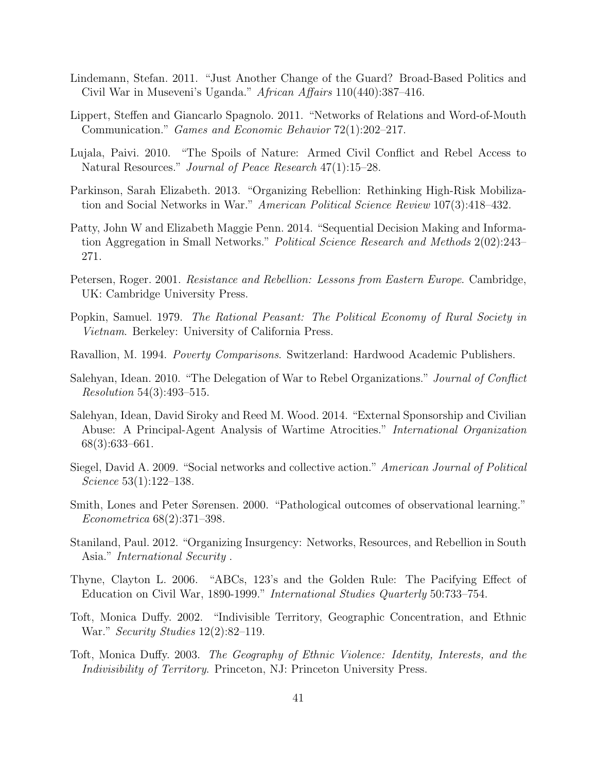- <span id="page-40-13"></span>Lindemann, Stefan. 2011. "Just Another Change of the Guard? Broad-Based Politics and Civil War in Museveni's Uganda." African Affairs 110(440):387–416.
- <span id="page-40-6"></span>Lippert, Steffen and Giancarlo Spagnolo. 2011. "Networks of Relations and Word-of-Mouth Communication." Games and Economic Behavior 72(1):202–217.
- <span id="page-40-12"></span>Lujala, Paivi. 2010. "The Spoils of Nature: Armed Civil Conflict and Rebel Access to Natural Resources." Journal of Peace Research 47(1):15–28.
- <span id="page-40-4"></span>Parkinson, Sarah Elizabeth. 2013. "Organizing Rebellion: Rethinking High-Risk Mobilization and Social Networks in War." American Political Science Review 107(3):418–432.
- <span id="page-40-7"></span>Patty, John W and Elizabeth Maggie Penn. 2014. "Sequential Decision Making and Information Aggregation in Small Networks." Political Science Research and Methods 2(02):243– 271.
- <span id="page-40-2"></span>Petersen, Roger. 2001. Resistance and Rebellion: Lessons from Eastern Europe. Cambridge, UK: Cambridge University Press.
- <span id="page-40-11"></span>Popkin, Samuel. 1979. The Rational Peasant: The Political Economy of Rural Society in Vietnam. Berkeley: University of California Press.
- <span id="page-40-14"></span>Ravallion, M. 1994. Poverty Comparisons. Switzerland: Hardwood Academic Publishers.
- <span id="page-40-8"></span>Salehyan, Idean. 2010. "The Delegation of War to Rebel Organizations." Journal of Conflict Resolution 54(3):493–515.
- <span id="page-40-9"></span>Salehyan, Idean, David Siroky and Reed M. Wood. 2014. "External Sponsorship and Civilian Abuse: A Principal-Agent Analysis of Wartime Atrocities." International Organization 68(3):633–661.
- <span id="page-40-5"></span>Siegel, David A. 2009. "Social networks and collective action." American Journal of Political Science 53(1):122–138.
- <span id="page-40-10"></span>Smith, Lones and Peter Sørensen. 2000. "Pathological outcomes of observational learning." Econometrica 68(2):371–398.
- <span id="page-40-3"></span>Staniland, Paul. 2012. "Organizing Insurgency: Networks, Resources, and Rebellion in South Asia." International Security .
- <span id="page-40-15"></span>Thyne, Clayton L. 2006. "ABCs, 123's and the Golden Rule: The Pacifying Effect of Education on Civil War, 1890-1999." International Studies Quarterly 50:733–754.
- <span id="page-40-0"></span>Toft, Monica Duffy. 2002. "Indivisible Territory, Geographic Concentration, and Ethnic War." Security Studies 12(2):82–119.
- <span id="page-40-1"></span>Toft, Monica Duffy. 2003. The Geography of Ethnic Violence: Identity, Interests, and the Indivisibility of Territory. Princeton, NJ: Princeton University Press.